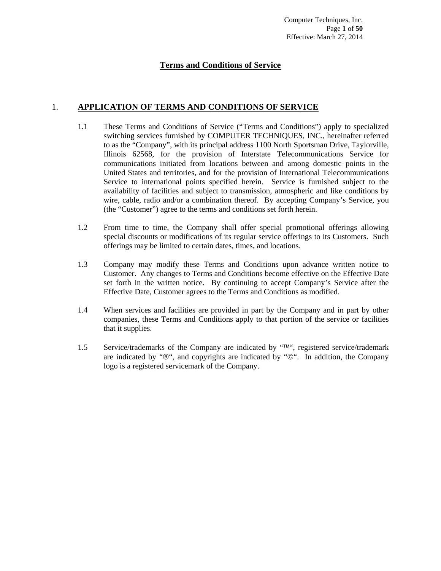## **Terms and Conditions of Service**

## 1. **APPLICATION OF TERMS AND CONDITIONS OF SERVICE**

- 1.1 These Terms and Conditions of Service ("Terms and Conditions") apply to specialized switching services furnished by COMPUTER TECHNIQUES, INC., hereinafter referred to as the "Company", with its principal address 1100 North Sportsman Drive, Taylorville, Illinois 62568, for the provision of Interstate Telecommunications Service for communications initiated from locations between and among domestic points in the United States and territories, and for the provision of International Telecommunications Service to international points specified herein. Service is furnished subject to the availability of facilities and subject to transmission, atmospheric and like conditions by wire, cable, radio and/or a combination thereof. By accepting Company's Service, you (the "Customer") agree to the terms and conditions set forth herein.
- 1.2 From time to time, the Company shall offer special promotional offerings allowing special discounts or modifications of its regular service offerings to its Customers. Such offerings may be limited to certain dates, times, and locations.
- 1.3 Company may modify these Terms and Conditions upon advance written notice to Customer. Any changes to Terms and Conditions become effective on the Effective Date set forth in the written notice. By continuing to accept Company's Service after the Effective Date, Customer agrees to the Terms and Conditions as modified.
- 1.4 When services and facilities are provided in part by the Company and in part by other companies, these Terms and Conditions apply to that portion of the service or facilities that it supplies.
- 1.5 Service/trademarks of the Company are indicated by "TM", registered service/trademark are indicated by " $\mathcal{O}$ ", and copyrights are indicated by " $\mathcal{O}$ ". In addition, the Company logo is a registered servicemark of the Company.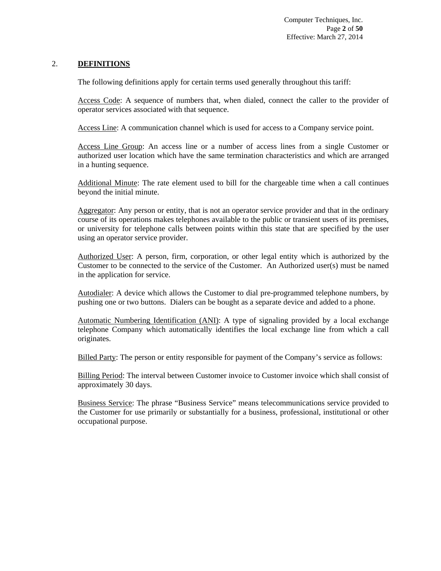## 2. **DEFINITIONS**

The following definitions apply for certain terms used generally throughout this tariff:

Access Code: A sequence of numbers that, when dialed, connect the caller to the provider of operator services associated with that sequence.

Access Line: A communication channel which is used for access to a Company service point.

Access Line Group: An access line or a number of access lines from a single Customer or authorized user location which have the same termination characteristics and which are arranged in a hunting sequence.

Additional Minute: The rate element used to bill for the chargeable time when a call continues beyond the initial minute.

Aggregator: Any person or entity, that is not an operator service provider and that in the ordinary course of its operations makes telephones available to the public or transient users of its premises, or university for telephone calls between points within this state that are specified by the user using an operator service provider.

Authorized User: A person, firm, corporation, or other legal entity which is authorized by the Customer to be connected to the service of the Customer. An Authorized user(s) must be named in the application for service.

Autodialer: A device which allows the Customer to dial pre-programmed telephone numbers, by pushing one or two buttons. Dialers can be bought as a separate device and added to a phone.

Automatic Numbering Identification (ANI): A type of signaling provided by a local exchange telephone Company which automatically identifies the local exchange line from which a call originates.

Billed Party: The person or entity responsible for payment of the Company's service as follows:

Billing Period: The interval between Customer invoice to Customer invoice which shall consist of approximately 30 days.

Business Service: The phrase "Business Service" means telecommunications service provided to the Customer for use primarily or substantially for a business, professional, institutional or other occupational purpose.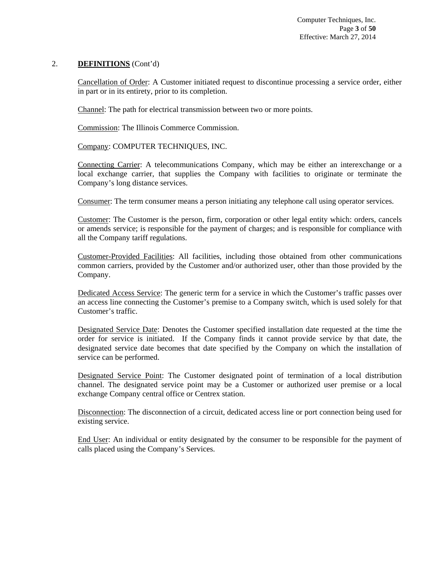Cancellation of Order: A Customer initiated request to discontinue processing a service order, either in part or in its entirety, prior to its completion.

Channel: The path for electrical transmission between two or more points.

Commission: The Illinois Commerce Commission.

## Company: COMPUTER TECHNIQUES, INC.

Connecting Carrier: A telecommunications Company, which may be either an interexchange or a local exchange carrier, that supplies the Company with facilities to originate or terminate the Company's long distance services.

Consumer: The term consumer means a person initiating any telephone call using operator services.

Customer: The Customer is the person, firm, corporation or other legal entity which: orders, cancels or amends service; is responsible for the payment of charges; and is responsible for compliance with all the Company tariff regulations.

Customer-Provided Facilities: All facilities, including those obtained from other communications common carriers, provided by the Customer and/or authorized user, other than those provided by the Company.

Dedicated Access Service: The generic term for a service in which the Customer's traffic passes over an access line connecting the Customer's premise to a Company switch, which is used solely for that Customer's traffic.

Designated Service Date: Denotes the Customer specified installation date requested at the time the order for service is initiated. If the Company finds it cannot provide service by that date, the designated service date becomes that date specified by the Company on which the installation of service can be performed.

Designated Service Point: The Customer designated point of termination of a local distribution channel. The designated service point may be a Customer or authorized user premise or a local exchange Company central office or Centrex station.

Disconnection: The disconnection of a circuit, dedicated access line or port connection being used for existing service.

End User: An individual or entity designated by the consumer to be responsible for the payment of calls placed using the Company's Services.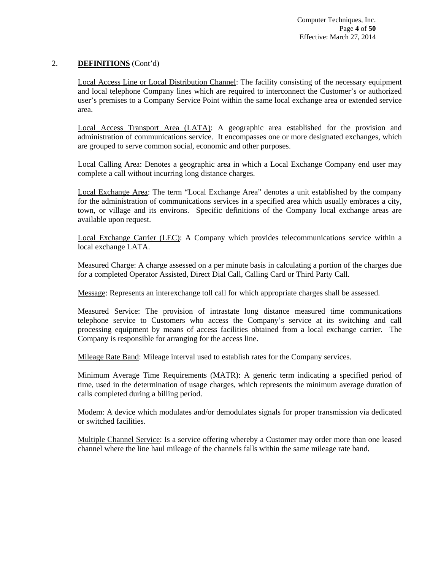Local Access Line or Local Distribution Channel: The facility consisting of the necessary equipment and local telephone Company lines which are required to interconnect the Customer's or authorized user's premises to a Company Service Point within the same local exchange area or extended service area.

Local Access Transport Area (LATA): A geographic area established for the provision and administration of communications service. It encompasses one or more designated exchanges, which are grouped to serve common social, economic and other purposes.

Local Calling Area: Denotes a geographic area in which a Local Exchange Company end user may complete a call without incurring long distance charges.

Local Exchange Area: The term "Local Exchange Area" denotes a unit established by the company for the administration of communications services in a specified area which usually embraces a city, town, or village and its environs. Specific definitions of the Company local exchange areas are available upon request.

Local Exchange Carrier (LEC): A Company which provides telecommunications service within a local exchange LATA.

Measured Charge: A charge assessed on a per minute basis in calculating a portion of the charges due for a completed Operator Assisted, Direct Dial Call, Calling Card or Third Party Call.

Message: Represents an interexchange toll call for which appropriate charges shall be assessed.

Measured Service: The provision of intrastate long distance measured time communications telephone service to Customers who access the Company's service at its switching and call processing equipment by means of access facilities obtained from a local exchange carrier. The Company is responsible for arranging for the access line.

Mileage Rate Band: Mileage interval used to establish rates for the Company services.

Minimum Average Time Requirements (MATR): A generic term indicating a specified period of time, used in the determination of usage charges, which represents the minimum average duration of calls completed during a billing period.

Modem: A device which modulates and/or demodulates signals for proper transmission via dedicated or switched facilities.

Multiple Channel Service: Is a service offering whereby a Customer may order more than one leased channel where the line haul mileage of the channels falls within the same mileage rate band.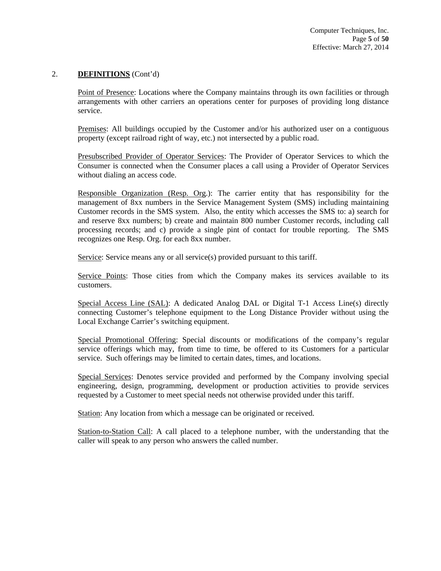Point of Presence: Locations where the Company maintains through its own facilities or through arrangements with other carriers an operations center for purposes of providing long distance service.

Premises: All buildings occupied by the Customer and/or his authorized user on a contiguous property (except railroad right of way, etc.) not intersected by a public road.

Presubscribed Provider of Operator Services: The Provider of Operator Services to which the Consumer is connected when the Consumer places a call using a Provider of Operator Services without dialing an access code.

Responsible Organization (Resp. Org.): The carrier entity that has responsibility for the management of 8xx numbers in the Service Management System (SMS) including maintaining Customer records in the SMS system. Also, the entity which accesses the SMS to: a) search for and reserve 8xx numbers; b) create and maintain 800 number Customer records, including call processing records; and c) provide a single pint of contact for trouble reporting. The SMS recognizes one Resp. Org. for each 8xx number.

Service: Service means any or all service(s) provided pursuant to this tariff.

Service Points: Those cities from which the Company makes its services available to its customers.

Special Access Line (SAL): A dedicated Analog DAL or Digital T-1 Access Line(s) directly connecting Customer's telephone equipment to the Long Distance Provider without using the Local Exchange Carrier's switching equipment.

Special Promotional Offering: Special discounts or modifications of the company's regular service offerings which may, from time to time, be offered to its Customers for a particular service. Such offerings may be limited to certain dates, times, and locations.

Special Services: Denotes service provided and performed by the Company involving special engineering, design, programming, development or production activities to provide services requested by a Customer to meet special needs not otherwise provided under this tariff.

Station: Any location from which a message can be originated or received.

Station-to-Station Call: A call placed to a telephone number, with the understanding that the caller will speak to any person who answers the called number.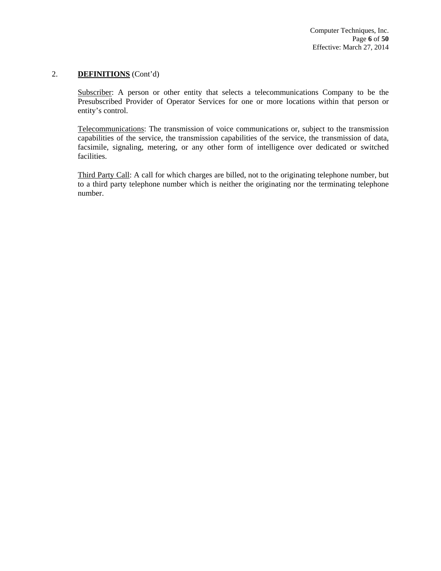Subscriber: A person or other entity that selects a telecommunications Company to be the Presubscribed Provider of Operator Services for one or more locations within that person or entity's control.

Telecommunications: The transmission of voice communications or, subject to the transmission capabilities of the service, the transmission capabilities of the service, the transmission of data, facsimile, signaling, metering, or any other form of intelligence over dedicated or switched facilities.

Third Party Call: A call for which charges are billed, not to the originating telephone number, but to a third party telephone number which is neither the originating nor the terminating telephone number.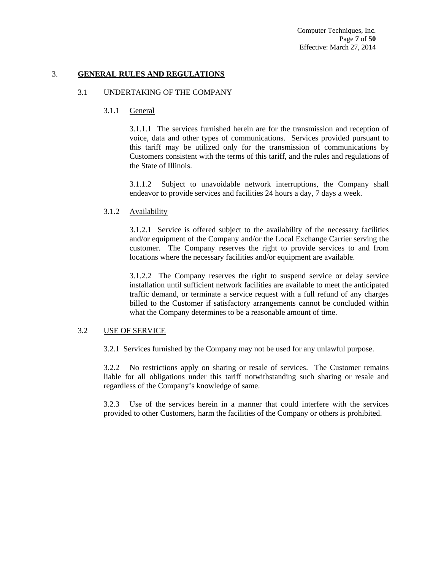Computer Techniques, Inc. Page **7** of **50** Effective: March 27, 2014

### 3. **GENERAL RULES AND REGULATIONS**

### 3.1 UNDERTAKING OF THE COMPANY

3.1.1 General

3.1.1.1 The services furnished herein are for the transmission and reception of voice, data and other types of communications. Services provided pursuant to this tariff may be utilized only for the transmission of communications by Customers consistent with the terms of this tariff, and the rules and regulations of the State of Illinois.

3.1.1.2 Subject to unavoidable network interruptions, the Company shall endeavor to provide services and facilities 24 hours a day, 7 days a week.

### 3.1.2 Availability

3.1.2.1 Service is offered subject to the availability of the necessary facilities and/or equipment of the Company and/or the Local Exchange Carrier serving the customer. The Company reserves the right to provide services to and from locations where the necessary facilities and/or equipment are available.

3.1.2.2 The Company reserves the right to suspend service or delay service installation until sufficient network facilities are available to meet the anticipated traffic demand, or terminate a service request with a full refund of any charges billed to the Customer if satisfactory arrangements cannot be concluded within what the Company determines to be a reasonable amount of time.

### 3.2 USE OF SERVICE

3.2.1 Services furnished by the Company may not be used for any unlawful purpose.

3.2.2 No restrictions apply on sharing or resale of services. The Customer remains liable for all obligations under this tariff notwithstanding such sharing or resale and regardless of the Company's knowledge of same.

3.2.3 Use of the services herein in a manner that could interfere with the services provided to other Customers, harm the facilities of the Company or others is prohibited.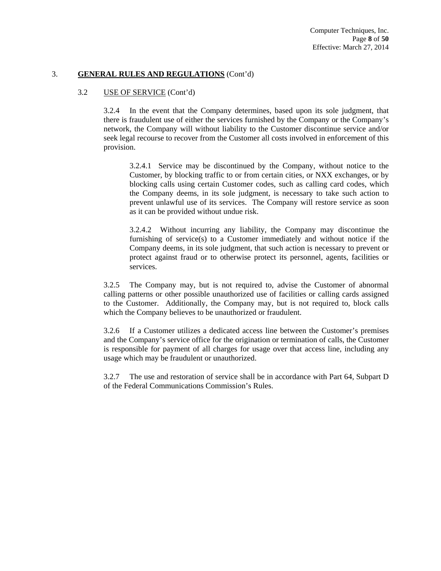### 3.2 USE OF SERVICE (Cont'd)

3.2.4 In the event that the Company determines, based upon its sole judgment, that there is fraudulent use of either the services furnished by the Company or the Company's network, the Company will without liability to the Customer discontinue service and/or seek legal recourse to recover from the Customer all costs involved in enforcement of this provision.

3.2.4.1 Service may be discontinued by the Company, without notice to the Customer, by blocking traffic to or from certain cities, or NXX exchanges, or by blocking calls using certain Customer codes, such as calling card codes, which the Company deems, in its sole judgment, is necessary to take such action to prevent unlawful use of its services. The Company will restore service as soon as it can be provided without undue risk.

3.2.4.2 Without incurring any liability, the Company may discontinue the furnishing of service(s) to a Customer immediately and without notice if the Company deems, in its sole judgment, that such action is necessary to prevent or protect against fraud or to otherwise protect its personnel, agents, facilities or services.

3.2.5 The Company may, but is not required to, advise the Customer of abnormal calling patterns or other possible unauthorized use of facilities or calling cards assigned to the Customer. Additionally, the Company may, but is not required to, block calls which the Company believes to be unauthorized or fraudulent.

3.2.6 If a Customer utilizes a dedicated access line between the Customer's premises and the Company's service office for the origination or termination of calls, the Customer is responsible for payment of all charges for usage over that access line, including any usage which may be fraudulent or unauthorized.

3.2.7 The use and restoration of service shall be in accordance with Part 64, Subpart D of the Federal Communications Commission's Rules.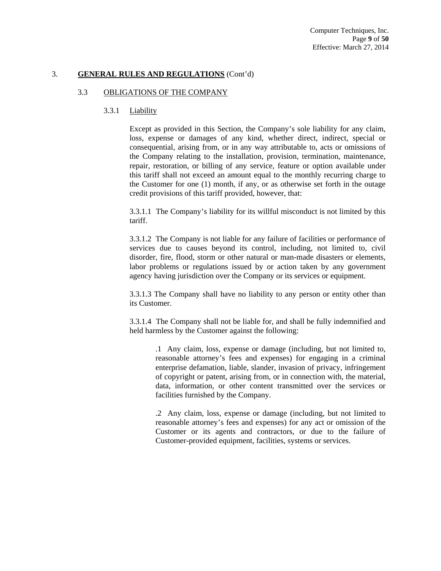## 3.3 OBLIGATIONS OF THE COMPANY

### 3.3.1 Liability

Except as provided in this Section, the Company's sole liability for any claim, loss, expense or damages of any kind, whether direct, indirect, special or consequential, arising from, or in any way attributable to, acts or omissions of the Company relating to the installation, provision, termination, maintenance, repair, restoration, or billing of any service, feature or option available under this tariff shall not exceed an amount equal to the monthly recurring charge to the Customer for one (1) month, if any, or as otherwise set forth in the outage credit provisions of this tariff provided, however, that:

3.3.1.1 The Company's liability for its willful misconduct is not limited by this tariff.

3.3.1.2 The Company is not liable for any failure of facilities or performance of services due to causes beyond its control, including, not limited to, civil disorder, fire, flood, storm or other natural or man-made disasters or elements, labor problems or regulations issued by or action taken by any government agency having jurisdiction over the Company or its services or equipment.

3.3.1.3 The Company shall have no liability to any person or entity other than its Customer.

3.3.1.4 The Company shall not be liable for, and shall be fully indemnified and held harmless by the Customer against the following:

.1 Any claim, loss, expense or damage (including, but not limited to, reasonable attorney's fees and expenses) for engaging in a criminal enterprise defamation, liable, slander, invasion of privacy, infringement of copyright or patent, arising from, or in connection with, the material, data, information, or other content transmitted over the services or facilities furnished by the Company.

.2 Any claim, loss, expense or damage (including, but not limited to reasonable attorney's fees and expenses) for any act or omission of the Customer or its agents and contractors, or due to the failure of Customer-provided equipment, facilities, systems or services.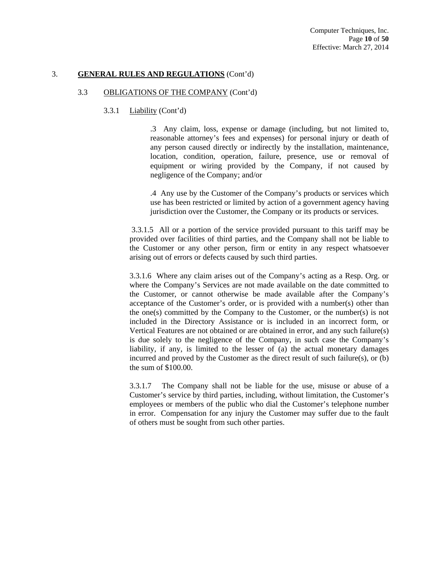### 3.3 OBLIGATIONS OF THE COMPANY (Cont'd)

### 3.3.1 Liability (Cont'd)

.3 Any claim, loss, expense or damage (including, but not limited to, reasonable attorney's fees and expenses) for personal injury or death of any person caused directly or indirectly by the installation, maintenance, location, condition, operation, failure, presence, use or removal of equipment or wiring provided by the Company, if not caused by negligence of the Company; and/or

.4 Any use by the Customer of the Company's products or services which use has been restricted or limited by action of a government agency having jurisdiction over the Customer, the Company or its products or services.

 3.3.1.5 All or a portion of the service provided pursuant to this tariff may be provided over facilities of third parties, and the Company shall not be liable to the Customer or any other person, firm or entity in any respect whatsoever arising out of errors or defects caused by such third parties.

3.3.1.6 Where any claim arises out of the Company's acting as a Resp. Org. or where the Company's Services are not made available on the date committed to the Customer, or cannot otherwise be made available after the Company's acceptance of the Customer's order, or is provided with a number(s) other than the one(s) committed by the Company to the Customer, or the number(s) is not included in the Directory Assistance or is included in an incorrect form, or Vertical Features are not obtained or are obtained in error, and any such failure(s) is due solely to the negligence of the Company, in such case the Company's liability, if any, is limited to the lesser of (a) the actual monetary damages incurred and proved by the Customer as the direct result of such failure(s), or (b) the sum of \$100.00.

3.3.1.7 The Company shall not be liable for the use, misuse or abuse of a Customer's service by third parties, including, without limitation, the Customer's employees or members of the public who dial the Customer's telephone number in error. Compensation for any injury the Customer may suffer due to the fault of others must be sought from such other parties.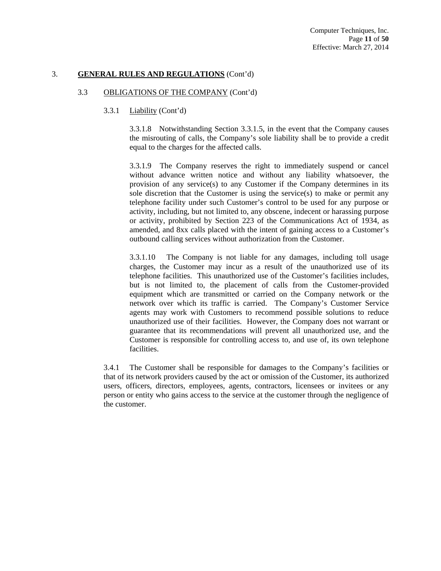### 3.3 OBLIGATIONS OF THE COMPANY (Cont'd)

### 3.3.1 Liability (Cont'd)

3.3.1.8 Notwithstanding Section 3.3.1.5, in the event that the Company causes the misrouting of calls, the Company's sole liability shall be to provide a credit equal to the charges for the affected calls.

3.3.1.9 The Company reserves the right to immediately suspend or cancel without advance written notice and without any liability whatsoever, the provision of any service(s) to any Customer if the Company determines in its sole discretion that the Customer is using the service(s) to make or permit any telephone facility under such Customer's control to be used for any purpose or activity, including, but not limited to, any obscene, indecent or harassing purpose or activity, prohibited by Section 223 of the Communications Act of 1934, as amended, and 8xx calls placed with the intent of gaining access to a Customer's outbound calling services without authorization from the Customer.

3.3.1.10 The Company is not liable for any damages, including toll usage charges, the Customer may incur as a result of the unauthorized use of its telephone facilities. This unauthorized use of the Customer's facilities includes, but is not limited to, the placement of calls from the Customer-provided equipment which are transmitted or carried on the Company network or the network over which its traffic is carried. The Company's Customer Service agents may work with Customers to recommend possible solutions to reduce unauthorized use of their facilities. However, the Company does not warrant or guarantee that its recommendations will prevent all unauthorized use, and the Customer is responsible for controlling access to, and use of, its own telephone facilities.

3.4.1 The Customer shall be responsible for damages to the Company's facilities or that of its network providers caused by the act or omission of the Customer, its authorized users, officers, directors, employees, agents, contractors, licensees or invitees or any person or entity who gains access to the service at the customer through the negligence of the customer.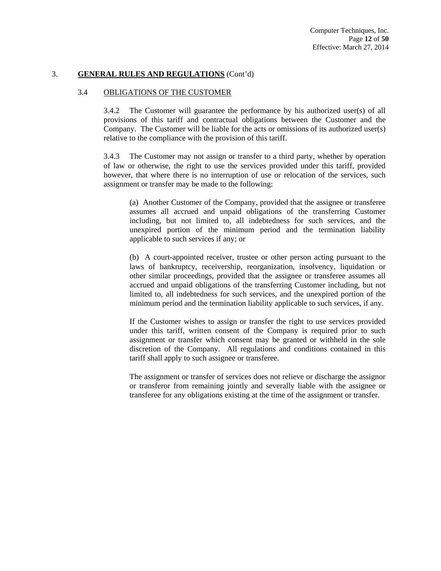#### 3.4 OBLIGATIONS OF THE CUSTOMER

3.4.2 The Customer will guarantee the performance by his authorized user(s) of all provisions of this tariff and contractual obligations between the Customer and the Company. The Customer will be liable for the acts or omissions of its authorized user(s) relative to the compliance with the provision of this tariff.

3.4.3 The Customer may not assign or transfer to a third party, whether by operation of law or otherwise, the right to use the services provided under this tariff, provided however, that where there is no interruption of use or relocation of the services, such assignment or transfer may be made to the following:

(a) Another Customer of the Company, provided that the assignee or transferee assumes all accrued and unpaid obligations of the transferring Customer including, but not limited to, all indebtedness for such services, and the unexpired portion of the minimum period and the termination liability applicable to such services if any; or

(b) A court-appointed receiver, trustee or other person acting pursuant to the laws of bankruptcy, receivership, reorganization, insolvency, liquidation or other similar proceedings, provided that the assignee or transferee assumes all accrued and unpaid obligations of the transferring Customer including, but not limited to, all indebtedness for such services, and the unexpired portion of the minimum period and the termination liability applicable to such services, if any.

If the Customer wishes to assign or transfer the right to use services provided under this tariff, written consent of the Company is required prior to such assignment or transfer which consent may be granted or withheld in the sole discretion of the Company. All regulations and conditions contained in this tariff shall apply to such assignee or transferee.

The assignment or transfer of services does not relieve or discharge the assignor or transferor from remaining jointly and severally liable with the assignee or transferee for any obligations existing at the time of the assignment or transfer.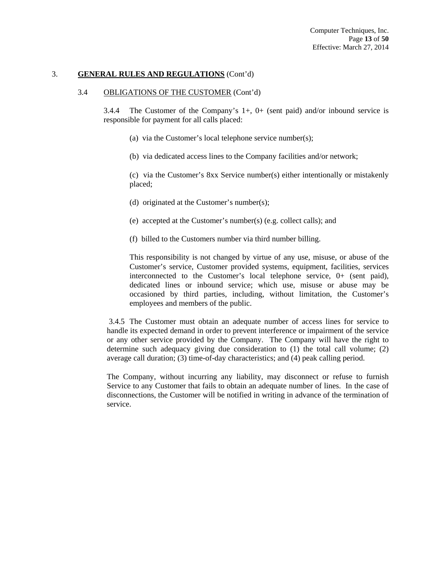### 3.4 OBLIGATIONS OF THE CUSTOMER (Cont'd)

3.4.4 The Customer of the Company's 1+, 0+ (sent paid) and/or inbound service is responsible for payment for all calls placed:

- (a) via the Customer's local telephone service number(s);
- (b) via dedicated access lines to the Company facilities and/or network;

(c) via the Customer's 8xx Service number(s) either intentionally or mistakenly placed;

- (d) originated at the Customer's number(s);
- (e) accepted at the Customer's number(s) (e.g. collect calls); and
- (f) billed to the Customers number via third number billing.

This responsibility is not changed by virtue of any use, misuse, or abuse of the Customer's service, Customer provided systems, equipment, facilities, services interconnected to the Customer's local telephone service, 0+ (sent paid), dedicated lines or inbound service; which use, misuse or abuse may be occasioned by third parties, including, without limitation, the Customer's employees and members of the public.

 3.4.5 The Customer must obtain an adequate number of access lines for service to handle its expected demand in order to prevent interference or impairment of the service or any other service provided by the Company. The Company will have the right to determine such adequacy giving due consideration to (1) the total call volume; (2) average call duration; (3) time-of-day characteristics; and (4) peak calling period.

The Company, without incurring any liability, may disconnect or refuse to furnish Service to any Customer that fails to obtain an adequate number of lines. In the case of disconnections, the Customer will be notified in writing in advance of the termination of service.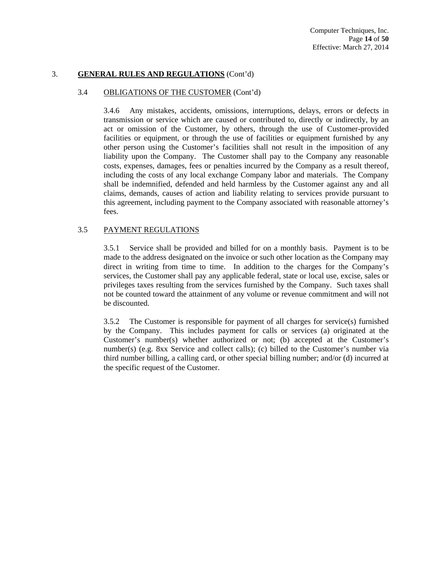### 3.4 OBLIGATIONS OF THE CUSTOMER (Cont'd)

3.4.6 Any mistakes, accidents, omissions, interruptions, delays, errors or defects in transmission or service which are caused or contributed to, directly or indirectly, by an act or omission of the Customer, by others, through the use of Customer-provided facilities or equipment, or through the use of facilities or equipment furnished by any other person using the Customer's facilities shall not result in the imposition of any liability upon the Company. The Customer shall pay to the Company any reasonable costs, expenses, damages, fees or penalties incurred by the Company as a result thereof, including the costs of any local exchange Company labor and materials. The Company shall be indemnified, defended and held harmless by the Customer against any and all claims, demands, causes of action and liability relating to services provide pursuant to this agreement, including payment to the Company associated with reasonable attorney's fees.

### 3.5 PAYMENT REGULATIONS

3.5.1 Service shall be provided and billed for on a monthly basis. Payment is to be made to the address designated on the invoice or such other location as the Company may direct in writing from time to time. In addition to the charges for the Company's services, the Customer shall pay any applicable federal, state or local use, excise, sales or privileges taxes resulting from the services furnished by the Company. Such taxes shall not be counted toward the attainment of any volume or revenue commitment and will not be discounted.

3.5.2 The Customer is responsible for payment of all charges for service(s) furnished by the Company. This includes payment for calls or services (a) originated at the Customer's number(s) whether authorized or not; (b) accepted at the Customer's number(s) (e.g. 8xx Service and collect calls); (c) billed to the Customer's number via third number billing, a calling card, or other special billing number; and/or (d) incurred at the specific request of the Customer.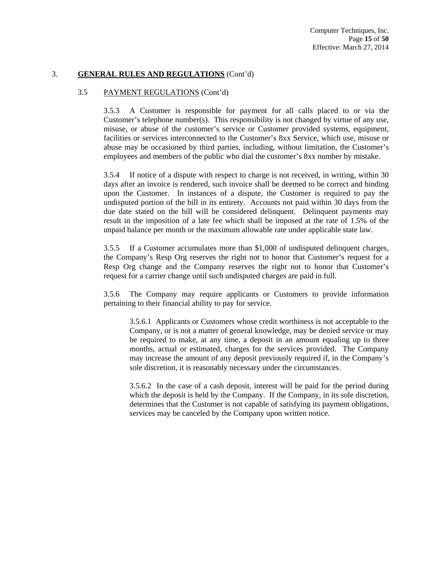## 3.5 PAYMENT REGULATIONS (Cont'd)

3.5.3 A Customer is responsible for payment for all calls placed to or via the Customer's telephone number(s). This responsibility is not changed by virtue of any use, misuse, or abuse of the customer's service or Customer provided systems, equipment, facilities or services interconnected to the Customer's 8xx Service, which use, misuse or abuse may be occasioned by third parties, including, without limitation, the Customer's employees and members of the public who dial the customer's 8xx number by mistake.

3.5.4 If notice of a dispute with respect to charge is not received, in writing, within 30 days after an invoice is rendered, such invoice shall be deemed to be correct and binding upon the Customer. In instances of a dispute, the Customer is required to pay the undisputed portion of the bill in its entirety. Accounts not paid within 30 days from the due date stated on the bill will be considered delinquent. Delinquent payments may result in the imposition of a late fee which shall be imposed at the rate of 1.5% of the unpaid balance per month or the maximum allowable rate under applicable state law.

3.5.5 If a Customer accumulates more than \$1,000 of undisputed delinquent charges, the Company's Resp Org reserves the right not to honor that Customer's request for a Resp Org change and the Company reserves the right not to honor that Customer's request for a carrier change until such undisputed charges are paid in full.

3.5.6 The Company may require applicants or Customers to provide information pertaining to their financial ability to pay for service.

3.5.6.1 Applicants or Customers whose credit worthiness is not acceptable to the Company, or is not a matter of general knowledge, may be denied service or may be required to make, at any time, a deposit in an amount equaling up to three months, actual or estimated, charges for the services provided. The Company may increase the amount of any deposit previously required if, in the Company's sole discretion, it is reasonably necessary under the circumstances.

3.5.6.2 In the case of a cash deposit, interest will be paid for the period during which the deposit is held by the Company. If the Company, in its sole discretion, determines that the Customer is not capable of satisfying its payment obligations, services may be canceled by the Company upon written notice.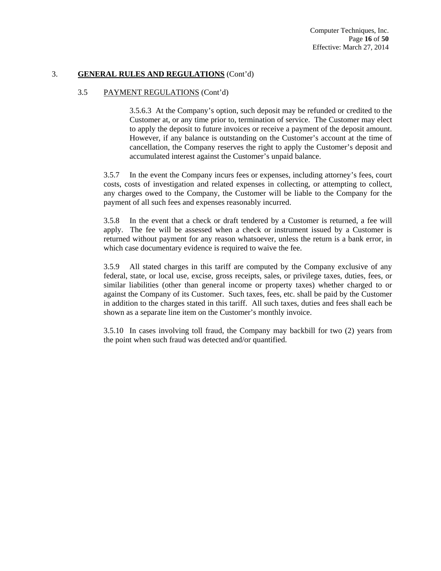## 3.5 PAYMENT REGULATIONS (Cont'd)

3.5.6.3 At the Company's option, such deposit may be refunded or credited to the Customer at, or any time prior to, termination of service. The Customer may elect to apply the deposit to future invoices or receive a payment of the deposit amount. However, if any balance is outstanding on the Customer's account at the time of cancellation, the Company reserves the right to apply the Customer's deposit and accumulated interest against the Customer's unpaid balance.

3.5.7 In the event the Company incurs fees or expenses, including attorney's fees, court costs, costs of investigation and related expenses in collecting, or attempting to collect, any charges owed to the Company, the Customer will be liable to the Company for the payment of all such fees and expenses reasonably incurred.

3.5.8 In the event that a check or draft tendered by a Customer is returned, a fee will apply. The fee will be assessed when a check or instrument issued by a Customer is returned without payment for any reason whatsoever, unless the return is a bank error, in which case documentary evidence is required to waive the fee.

3.5.9 All stated charges in this tariff are computed by the Company exclusive of any federal, state, or local use, excise, gross receipts, sales, or privilege taxes, duties, fees, or similar liabilities (other than general income or property taxes) whether charged to or against the Company of its Customer. Such taxes, fees, etc. shall be paid by the Customer in addition to the charges stated in this tariff. All such taxes, duties and fees shall each be shown as a separate line item on the Customer's monthly invoice.

3.5.10 In cases involving toll fraud, the Company may backbill for two (2) years from the point when such fraud was detected and/or quantified.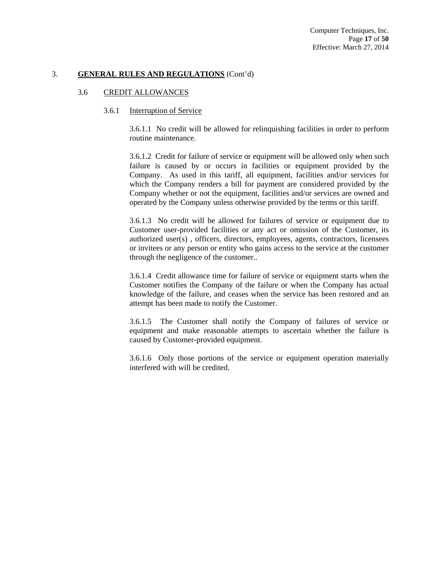#### 3.6 CREDIT ALLOWANCES

### 3.6.1 Interruption of Service

3.6.1.1 No credit will be allowed for relinquishing facilities in order to perform routine maintenance.

3.6.1.2 Credit for failure of service or equipment will be allowed only when such failure is caused by or occurs in facilities or equipment provided by the Company. As used in this tariff, all equipment, facilities and/or services for which the Company renders a bill for payment are considered provided by the Company whether or not the equipment, facilities and/or services are owned and operated by the Company unless otherwise provided by the terms or this tariff.

3.6.1.3 No credit will be allowed for failures of service or equipment due to Customer user-provided facilities or any act or omission of the Customer, its authorized user(s) , officers, directors, employees, agents, contractors, licensees or invitees or any person or entity who gains access to the service at the customer through the negligence of the customer..

3.6.1.4 Credit allowance time for failure of service or equipment starts when the Customer notifies the Company of the failure or when the Company has actual knowledge of the failure, and ceases when the service has been restored and an attempt has been made to notify the Customer.

3.6.1.5 The Customer shall notify the Company of failures of service or equipment and make reasonable attempts to ascertain whether the failure is caused by Customer-provided equipment.

3.6.1.6 Only those portions of the service or equipment operation materially interfered with will be credited.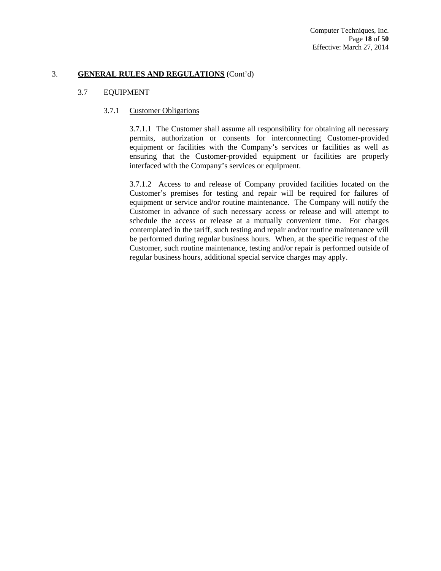## 3.7 EQUIPMENT

### 3.7.1 Customer Obligations

3.7.1.1 The Customer shall assume all responsibility for obtaining all necessary permits, authorization or consents for interconnecting Customer-provided equipment or facilities with the Company's services or facilities as well as ensuring that the Customer-provided equipment or facilities are properly interfaced with the Company's services or equipment.

3.7.1.2 Access to and release of Company provided facilities located on the Customer's premises for testing and repair will be required for failures of equipment or service and/or routine maintenance. The Company will notify the Customer in advance of such necessary access or release and will attempt to schedule the access or release at a mutually convenient time. For charges contemplated in the tariff, such testing and repair and/or routine maintenance will be performed during regular business hours. When, at the specific request of the Customer, such routine maintenance, testing and/or repair is performed outside of regular business hours, additional special service charges may apply.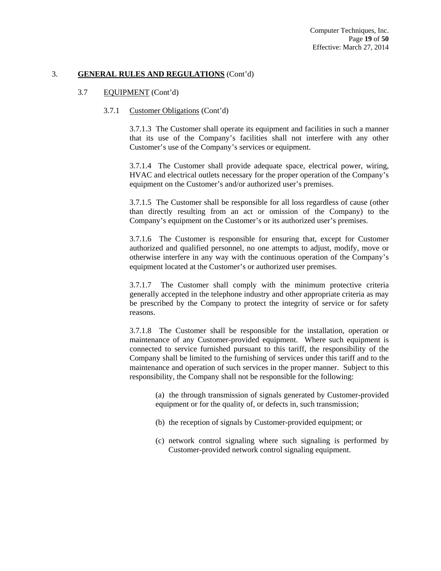### 3.7 EQUIPMENT (Cont'd)

### 3.7.1 Customer Obligations (Cont'd)

3.7.1.3 The Customer shall operate its equipment and facilities in such a manner that its use of the Company's facilities shall not interfere with any other Customer's use of the Company's services or equipment.

3.7.1.4 The Customer shall provide adequate space, electrical power, wiring, HVAC and electrical outlets necessary for the proper operation of the Company's equipment on the Customer's and/or authorized user's premises.

3.7.1.5 The Customer shall be responsible for all loss regardless of cause (other than directly resulting from an act or omission of the Company) to the Company's equipment on the Customer's or its authorized user's premises.

3.7.1.6 The Customer is responsible for ensuring that, except for Customer authorized and qualified personnel, no one attempts to adjust, modify, move or otherwise interfere in any way with the continuous operation of the Company's equipment located at the Customer's or authorized user premises.

3.7.1.7 The Customer shall comply with the minimum protective criteria generally accepted in the telephone industry and other appropriate criteria as may be prescribed by the Company to protect the integrity of service or for safety reasons.

3.7.1.8 The Customer shall be responsible for the installation, operation or maintenance of any Customer-provided equipment. Where such equipment is connected to service furnished pursuant to this tariff, the responsibility of the Company shall be limited to the furnishing of services under this tariff and to the maintenance and operation of such services in the proper manner. Subject to this responsibility, the Company shall not be responsible for the following:

(a) the through transmission of signals generated by Customer-provided equipment or for the quality of, or defects in, such transmission;

- (b) the reception of signals by Customer-provided equipment; or
- (c) network control signaling where such signaling is performed by Customer-provided network control signaling equipment.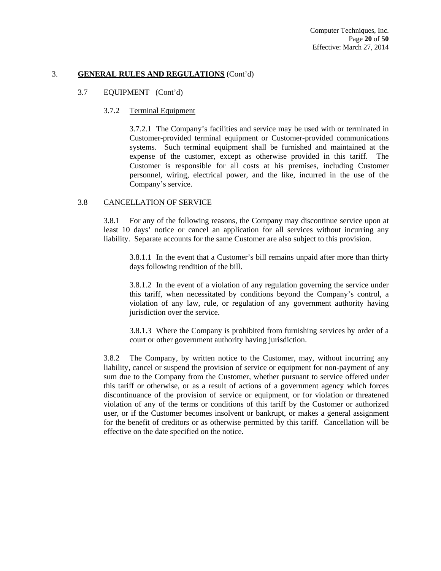### 3.7 EQUIPMENT (Cont'd)

### 3.7.2 Terminal Equipment

3.7.2.1 The Company's facilities and service may be used with or terminated in Customer-provided terminal equipment or Customer-provided communications systems. Such terminal equipment shall be furnished and maintained at the expense of the customer, except as otherwise provided in this tariff. The Customer is responsible for all costs at his premises, including Customer personnel, wiring, electrical power, and the like, incurred in the use of the Company's service.

## 3.8 CANCELLATION OF SERVICE

3.8.1 For any of the following reasons, the Company may discontinue service upon at least 10 days' notice or cancel an application for all services without incurring any liability. Separate accounts for the same Customer are also subject to this provision.

3.8.1.1 In the event that a Customer's bill remains unpaid after more than thirty days following rendition of the bill.

3.8.1.2 In the event of a violation of any regulation governing the service under this tariff, when necessitated by conditions beyond the Company's control, a violation of any law, rule, or regulation of any government authority having jurisdiction over the service.

3.8.1.3 Where the Company is prohibited from furnishing services by order of a court or other government authority having jurisdiction.

3.8.2 The Company, by written notice to the Customer, may, without incurring any liability, cancel or suspend the provision of service or equipment for non-payment of any sum due to the Company from the Customer, whether pursuant to service offered under this tariff or otherwise, or as a result of actions of a government agency which forces discontinuance of the provision of service or equipment, or for violation or threatened violation of any of the terms or conditions of this tariff by the Customer or authorized user, or if the Customer becomes insolvent or bankrupt, or makes a general assignment for the benefit of creditors or as otherwise permitted by this tariff. Cancellation will be effective on the date specified on the notice.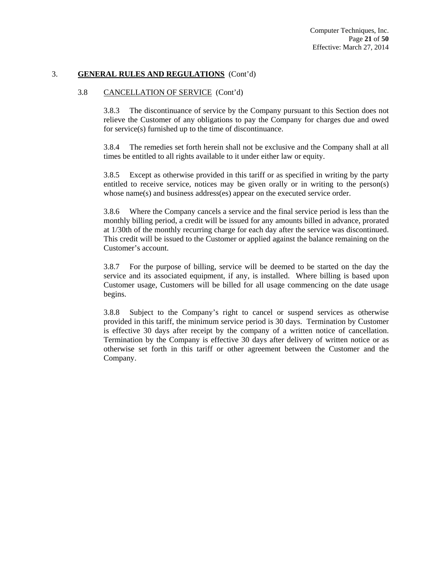### 3.8 CANCELLATION OF SERVICE (Cont'd)

3.8.3 The discontinuance of service by the Company pursuant to this Section does not relieve the Customer of any obligations to pay the Company for charges due and owed for service(s) furnished up to the time of discontinuance.

3.8.4 The remedies set forth herein shall not be exclusive and the Company shall at all times be entitled to all rights available to it under either law or equity.

3.8.5 Except as otherwise provided in this tariff or as specified in writing by the party entitled to receive service, notices may be given orally or in writing to the person(s) whose name(s) and business address(es) appear on the executed service order.

3.8.6 Where the Company cancels a service and the final service period is less than the monthly billing period, a credit will be issued for any amounts billed in advance, prorated at 1/30th of the monthly recurring charge for each day after the service was discontinued. This credit will be issued to the Customer or applied against the balance remaining on the Customer's account.

3.8.7 For the purpose of billing, service will be deemed to be started on the day the service and its associated equipment, if any, is installed. Where billing is based upon Customer usage, Customers will be billed for all usage commencing on the date usage begins.

3.8.8 Subject to the Company's right to cancel or suspend services as otherwise provided in this tariff, the minimum service period is 30 days. Termination by Customer is effective 30 days after receipt by the company of a written notice of cancellation. Termination by the Company is effective 30 days after delivery of written notice or as otherwise set forth in this tariff or other agreement between the Customer and the Company.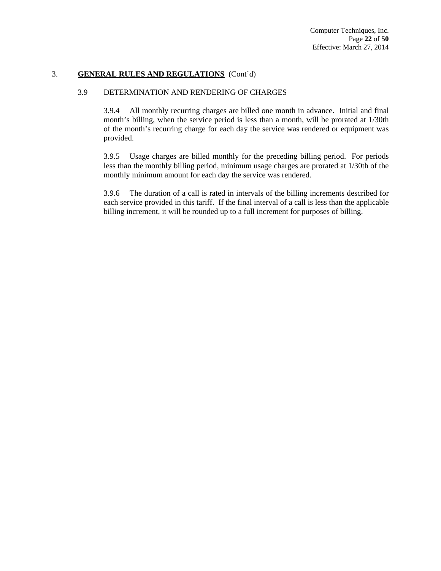### 3.9 DETERMINATION AND RENDERING OF CHARGES

3.9.4 All monthly recurring charges are billed one month in advance. Initial and final month's billing, when the service period is less than a month, will be prorated at 1/30th of the month's recurring charge for each day the service was rendered or equipment was provided.

3.9.5 Usage charges are billed monthly for the preceding billing period. For periods less than the monthly billing period, minimum usage charges are prorated at 1/30th of the monthly minimum amount for each day the service was rendered.

3.9.6 The duration of a call is rated in intervals of the billing increments described for each service provided in this tariff. If the final interval of a call is less than the applicable billing increment, it will be rounded up to a full increment for purposes of billing.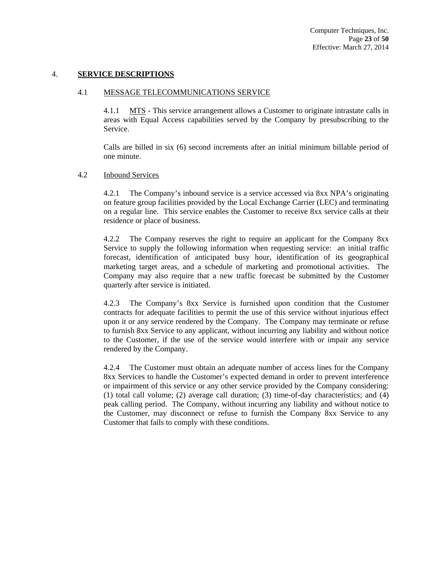### 4. **SERVICE DESCRIPTIONS**

### 4.1 MESSAGE TELECOMMUNICATIONS SERVICE

4.1.1 MTS - This service arrangement allows a Customer to originate intrastate calls in areas with Equal Access capabilities served by the Company by presubscribing to the Service.

Calls are billed in six (6) second increments after an initial minimum billable period of one minute.

### 4.2 Inbound Services

4.2.1 The Company's inbound service is a service accessed via 8xx NPA's originating on feature group facilities provided by the Local Exchange Carrier (LEC) and terminating on a regular line. This service enables the Customer to receive 8xx service calls at their residence or place of business.

4.2.2 The Company reserves the right to require an applicant for the Company 8xx Service to supply the following information when requesting service: an initial traffic forecast, identification of anticipated busy hour, identification of its geographical marketing target areas, and a schedule of marketing and promotional activities. The Company may also require that a new traffic forecast be submitted by the Customer quarterly after service is initiated.

4.2.3 The Company's 8xx Service is furnished upon condition that the Customer contracts for adequate facilities to permit the use of this service without injurious effect upon it or any service rendered by the Company. The Company may terminate or refuse to furnish 8xx Service to any applicant, without incurring any liability and without notice to the Customer, if the use of the service would interfere with or impair any service rendered by the Company.

4.2.4 The Customer must obtain an adequate number of access lines for the Company 8xx Services to handle the Customer's expected demand in order to prevent interference or impairment of this service or any other service provided by the Company considering: (1) total call volume; (2) average call duration; (3) time-of-day characteristics; and (4) peak calling period. The Company, without incurring any liability and without notice to the Customer, may disconnect or refuse to furnish the Company 8xx Service to any Customer that fails to comply with these conditions.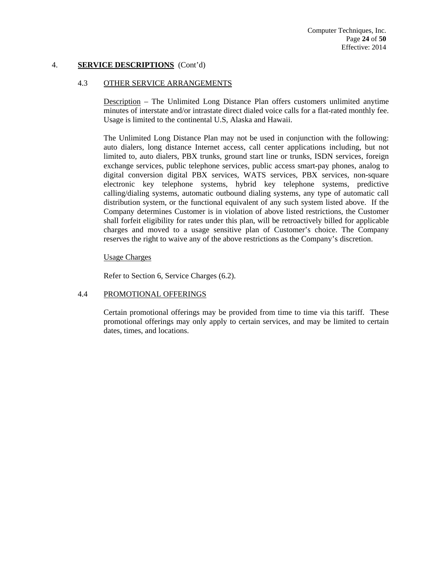## 4. **SERVICE DESCRIPTIONS** (Cont'd)

### 4.3 OTHER SERVICE ARRANGEMENTS

Description – The Unlimited Long Distance Plan offers customers unlimited anytime minutes of interstate and/or intrastate direct dialed voice calls for a flat-rated monthly fee. Usage is limited to the continental U.S, Alaska and Hawaii.

The Unlimited Long Distance Plan may not be used in conjunction with the following: auto dialers, long distance Internet access, call center applications including, but not limited to, auto dialers, PBX trunks, ground start line or trunks, ISDN services, foreign exchange services, public telephone services, public access smart-pay phones, analog to digital conversion digital PBX services, WATS services, PBX services, non-square electronic key telephone systems, hybrid key telephone systems, predictive calling/dialing systems, automatic outbound dialing systems, any type of automatic call distribution system, or the functional equivalent of any such system listed above. If the Company determines Customer is in violation of above listed restrictions, the Customer shall forfeit eligibility for rates under this plan, will be retroactively billed for applicable charges and moved to a usage sensitive plan of Customer's choice. The Company reserves the right to waive any of the above restrictions as the Company's discretion.

## Usage Charges

Refer to Section 6, Service Charges (6.2).

### 4.4 PROMOTIONAL OFFERINGS

Certain promotional offerings may be provided from time to time via this tariff. These promotional offerings may only apply to certain services, and may be limited to certain dates, times, and locations.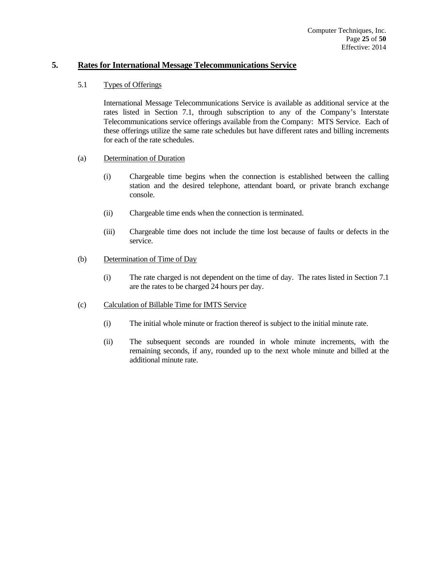## **5. Rates for International Message Telecommunications Service**

## 5.1 Types of Offerings

 International Message Telecommunications Service is available as additional service at the rates listed in Section 7.1, through subscription to any of the Company's Interstate Telecommunications service offerings available from the Company: MTS Service. Each of these offerings utilize the same rate schedules but have different rates and billing increments for each of the rate schedules.

## (a) Determination of Duration

- (i) Chargeable time begins when the connection is established between the calling station and the desired telephone, attendant board, or private branch exchange console.
- (ii) Chargeable time ends when the connection is terminated.
- (iii) Chargeable time does not include the time lost because of faults or defects in the service.

## (b) Determination of Time of Day

 (i) The rate charged is not dependent on the time of day. The rates listed in Section 7.1 are the rates to be charged 24 hours per day.

## (c) Calculation of Billable Time for IMTS Service

- (i) The initial whole minute or fraction thereof is subject to the initial minute rate.
- (ii) The subsequent seconds are rounded in whole minute increments, with the remaining seconds, if any, rounded up to the next whole minute and billed at the additional minute rate.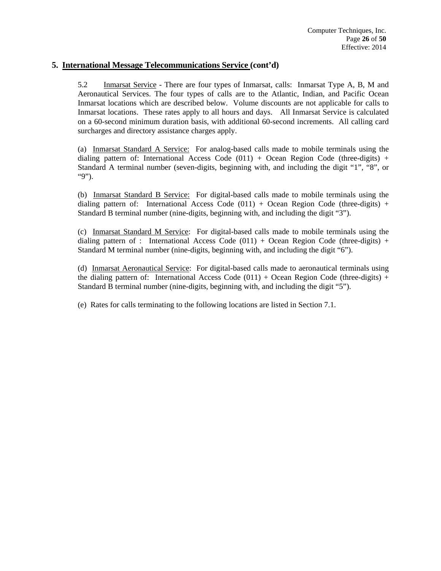## **5. International Message Telecommunications Service (cont'd)**

5.2 Inmarsat Service - There are four types of Inmarsat, calls: Inmarsat Type A, B, M and Aeronautical Services. The four types of calls are to the Atlantic, Indian, and Pacific Ocean Inmarsat locations which are described below. Volume discounts are not applicable for calls to Inmarsat locations. These rates apply to all hours and days. All Inmarsat Service is calculated on a 60-second minimum duration basis, with additional 60-second increments. All calling card surcharges and directory assistance charges apply.

 (a) Inmarsat Standard A Service: For analog-based calls made to mobile terminals using the dialing pattern of: International Access Code  $(011) +$  Ocean Region Code (three-digits) + Standard A terminal number (seven-digits, beginning with, and including the digit "1", "8", or "9").

 (b) Inmarsat Standard B Service: For digital-based calls made to mobile terminals using the dialing pattern of: International Access Code  $(011) +$  Ocean Region Code (three-digits) + Standard B terminal number (nine-digits, beginning with, and including the digit "3").

(c) Inmarsat Standard M Service: For digital-based calls made to mobile terminals using the dialing pattern of : International Access Code  $(011) +$  Ocean Region Code (three-digits) + Standard M terminal number (nine-digits, beginning with, and including the digit "6").

 (d) Inmarsat Aeronautical Service: For digital-based calls made to aeronautical terminals using the dialing pattern of: International Access Code  $(011) +$  Ocean Region Code (three-digits) + Standard B terminal number (nine-digits, beginning with, and including the digit "5").

(e) Rates for calls terminating to the following locations are listed in Section 7.1.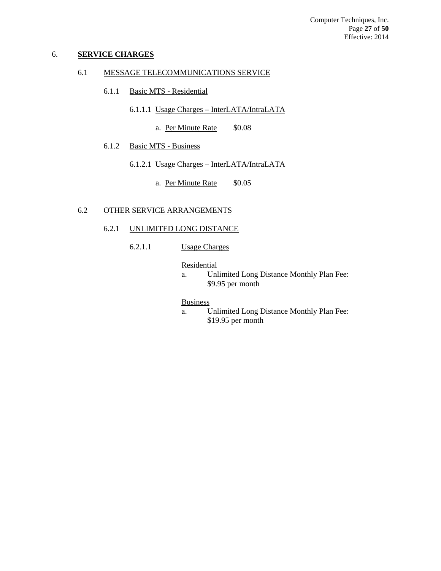### 6. **SERVICE CHARGES**

## 6.1 MESSAGE TELECOMMUNICATIONS SERVICE

- 6.1.1 Basic MTS Residential
	- 6.1.1.1 Usage Charges InterLATA/IntraLATA
		- a. Per Minute Rate \$0.08
- 6.1.2 Basic MTS Business
	- 6.1.2.1 Usage Charges InterLATA/IntraLATA
		- a. Per Minute Rate \$0.05

## 6.2 OTHER SERVICE ARRANGEMENTS

### 6.2.1 UNLIMITED LONG DISTANCE

6.2.1.1 Usage Charges

#### **Residential**

 a. Unlimited Long Distance Monthly Plan Fee: \$9.95 per month

### Business

 a. Unlimited Long Distance Monthly Plan Fee: \$19.95 per month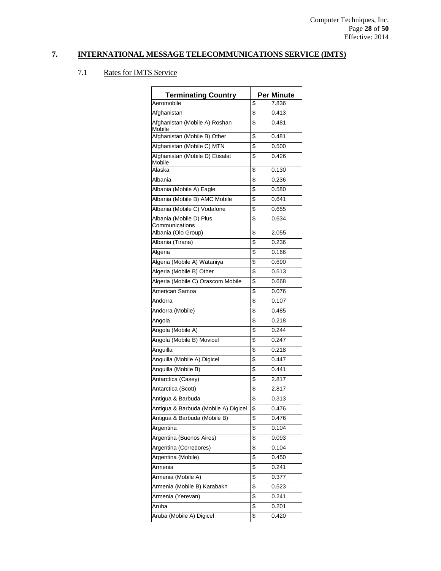| <b>Terminating Country</b>                | <b>Per Minute</b> |
|-------------------------------------------|-------------------|
| Aeromobile                                | \$<br>7.836       |
| Afghanistan                               | \$<br>0.413       |
| Afghanistan (Mobile A) Roshan<br>Mobile   | \$<br>0.481       |
| Afghanistan (Mobile B) Other              | \$<br>0.481       |
| Afghanistan (Mobile C) MTN                | \$<br>0.500       |
| Afghanistan (Mobile D) Etisalat<br>Mobile | \$<br>0.426       |
| Alaska                                    | \$<br>0.130       |
| Albania                                   | \$<br>0.236       |
| Albania (Mobile A) Eagle                  | \$<br>0.580       |
| Albania (Mobile B) AMC Mobile             | \$<br>0.641       |
| Albania (Mobile C) Vodafone               | \$<br>0.655       |
| Albania (Mobile D) Plus<br>Communications | \$<br>0.634       |
| Albania (Olo Group)                       | \$<br>2.055       |
| Albania (Tirana)                          | \$<br>0.236       |
| Algeria                                   | \$<br>0.166       |
| Algeria (Mobile A) Wataniya               | \$<br>0.690       |
| Algeria (Mobile B) Other                  | \$<br>0.513       |
| Algeria (Mobile C) Orascom Mobile         | \$<br>0.668       |
| American Samoa                            | \$<br>0.076       |
| Andorra                                   | \$<br>0.107       |
| Andorra (Mobile)                          | \$<br>0.485       |
| Angola                                    | \$<br>0.218       |
| Angola (Mobile A)                         | \$<br>0.244       |
| Angola (Mobile B) Movicel                 | \$<br>0.247       |
| Anguilla                                  | \$<br>0.218       |
| Anguilla (Mobile A) Digicel               | \$<br>0.447       |
| Anguilla (Mobile B)                       | \$<br>0.441       |
| Antarctica (Casey)                        | \$<br>2.817       |
| Antarctica (Scott)                        | \$<br>2.817       |
| Antigua & Barbuda                         | \$<br>0.313       |
| Antigua & Barbuda (Mobile A) Digicel      | \$<br>0.476       |
| Antigua & Barbuda (Mobile B)              | \$<br>0.476       |
| Argentina                                 | \$<br>0.104       |
| Argentina (Buenos Aires)                  | \$<br>0.093       |
| Argentina (Corredores)                    | \$<br>0.104       |
| Argentina (Mobile)                        | \$<br>0.450       |
| Armenia                                   | \$<br>0.241       |
| Armenia (Mobile A)                        | \$<br>0.377       |
| Armenia (Mobile B) Karabakh               | \$<br>0.523       |
| Armenia (Yerevan)                         | \$<br>0.241       |
| Aruba                                     | \$<br>0.201       |
| Aruba (Mobile A) Digicel                  | \$<br>0.420       |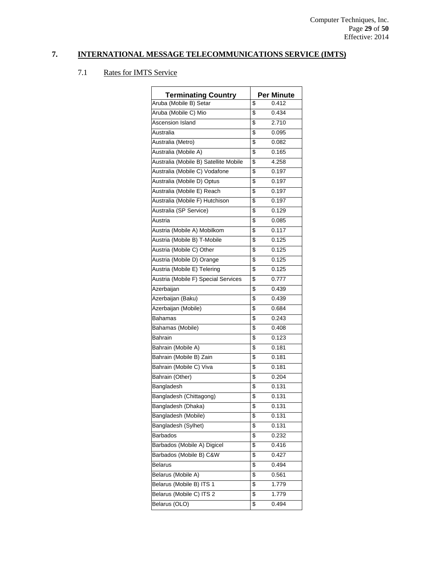| <b>Terminating Country</b>            |                 | <b>Per Minute</b> |
|---------------------------------------|-----------------|-------------------|
| Aruba (Mobile B) Setar                | \$              | 0.412             |
| Aruba (Mobile C) Mio                  | \$              | 0.434             |
| Ascension Island                      | \$              | 2.710             |
| Australia                             | \$              | 0.095             |
| Australia (Metro)                     | \$              | 0.082             |
| Australia (Mobile A)                  | \$              | 0.165             |
| Australia (Mobile B) Satellite Mobile | \$              | 4.258             |
| Australia (Mobile C) Vodafone         | \$              | 0.197             |
| Australia (Mobile D) Optus            | \$              | 0.197             |
| Australia (Mobile E) Reach            | \$              | 0.197             |
| Australia (Mobile F) Hutchison        | \$              | 0.197             |
| Australia (SP Service)                | \$              | 0.129             |
| Austria                               | \$              | 0.085             |
| Austria (Mobile A) Mobilkom           | \$              | 0.117             |
| Austria (Mobile B) T-Mobile           | \$              | 0.125             |
| Austria (Mobile C) Other              | \$              | 0.125             |
| Austria (Mobile D) Orange             | \$              | 0.125             |
| Austria (Mobile E) Telering           | \$              | 0.125             |
| Austria (Mobile F) Special Services   | \$              | 0.777             |
| Azerbaijan                            | \$              | 0.439             |
| Azerbaijan (Baku)                     | \$              | 0.439             |
| Azerbaijan (Mobile)                   | \$              | 0.684             |
| Bahamas                               | \$              | 0.243             |
| Bahamas (Mobile)                      | \$              | 0.408             |
| Bahrain                               | \$              | 0.123             |
| Bahrain (Mobile A)                    | \$              | 0.181             |
| Bahrain (Mobile B) Zain               | \$              | 0.181             |
| Bahrain (Mobile C) Viva               | \$              | 0.181             |
| Bahrain (Other)                       | \$              | 0.204             |
| Bangladesh                            | \$              | 0.131             |
| Bangladesh (Chittagong)               | \$              | 0.131             |
| Bangladesh (Dhaka)                    | \$              | 0.131             |
| Bangladesh (Mobile)                   | \$              | 0.131             |
| Bangladesh (Sylhet)                   | \$              | 0.131             |
| <b>Barbados</b>                       | \$              | 0.232             |
| Barbados (Mobile A) Digicel           | \$              | 0.416             |
| Barbados (Mobile B) C&W               | \$              | 0.427             |
| <b>Belarus</b>                        | \$              | 0.494             |
| Belarus (Mobile A)                    | \$              | 0.561             |
| Belarus (Mobile B) ITS 1              | $\overline{\$}$ | 1.779             |
| Belarus (Mobile C) ITS 2              | \$              | 1.779             |
| Belarus (OLO)                         | \$              | 0.494             |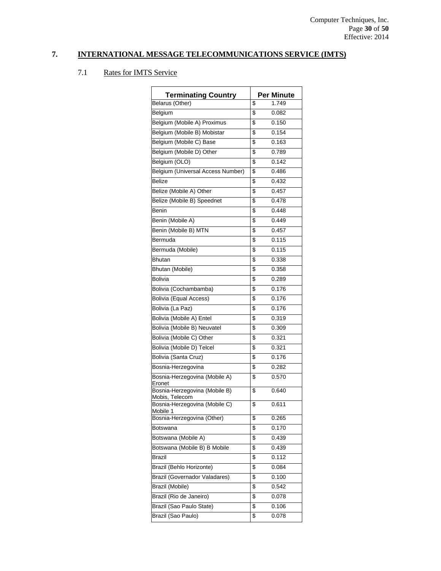| <b>Terminating Country</b>                      | <b>Per Minute</b> |
|-------------------------------------------------|-------------------|
| Belarus (Other)                                 | \$<br>1.749       |
| Belgium                                         | \$<br>0.082       |
| Belgium (Mobile A) Proximus                     | \$<br>0.150       |
| Belgium (Mobile B) Mobistar                     | \$<br>0.154       |
| Belgium (Mobile C) Base                         | \$<br>0.163       |
| Belgium (Mobile D) Other                        | \$<br>0.789       |
| Belgium (OLO)                                   | \$<br>0.142       |
| Belgium (Universal Access Number)               | \$<br>0.486       |
| <b>Belize</b>                                   | \$<br>0.432       |
| Belize (Mobile A) Other                         | \$<br>0.457       |
| Belize (Mobile B) Speednet                      | \$<br>0.478       |
| Benin                                           | \$<br>0.448       |
| Benin (Mobile A)                                | \$<br>0.449       |
| Benin (Mobile B) MTN                            | \$<br>0.457       |
| Bermuda                                         | \$<br>0.115       |
| Bermuda (Mobile)                                | \$<br>0.115       |
| <b>Bhutan</b>                                   | \$<br>0.338       |
| Bhutan (Mobile)                                 | \$<br>0.358       |
| <b>Bolivia</b>                                  | \$<br>0.289       |
| Bolivia (Cochambamba)                           | \$<br>0.176       |
| <b>Bolivia (Equal Access)</b>                   | \$<br>0.176       |
| Bolivia (La Paz)                                | \$<br>0.176       |
| Bolivia (Mobile A) Entel                        | \$<br>0.319       |
| Bolivia (Mobile B) Neuvatel                     | \$<br>0.309       |
| Bolivia (Mobile C) Other                        | \$<br>0.321       |
| Bolivia (Mobile D) Telcel                       | \$<br>0.321       |
| Bolivia (Santa Cruz)                            | \$<br>0.176       |
| Bosnia-Herzegovina                              | \$<br>0.282       |
| Bosnia-Herzegovina (Mobile A)<br>Eronet         | \$<br>0.570       |
| Bosnia-Herzegovina (Mobile B)<br>Mobis, Telecom | \$<br>0.640       |
| Bosnia-Herzegovina (Mobile C)<br>Mobile 1       | \$<br>0.611       |
| Bosnia-Herzegovina (Other)                      | \$<br>0.265       |
| Botswana                                        | \$<br>0.170       |
| Botswana (Mobile A)                             | \$<br>0.439       |
| Botswana (Mobile B) B Mobile                    | \$<br>0.439       |
| Brazil                                          | \$<br>0.112       |
| Brazil (Behlo Horizonte)                        | \$<br>0.084       |
| <b>Brazil (Governador Valadares)</b>            | \$<br>0.100       |
| Brazil (Mobile)                                 | \$<br>0.542       |
| Brazil (Rio de Janeiro)                         | \$<br>0.078       |
| Brazil (Sao Paulo State)                        | \$<br>0.106       |
| Brazil (Sao Paulo)                              | \$<br>0.078       |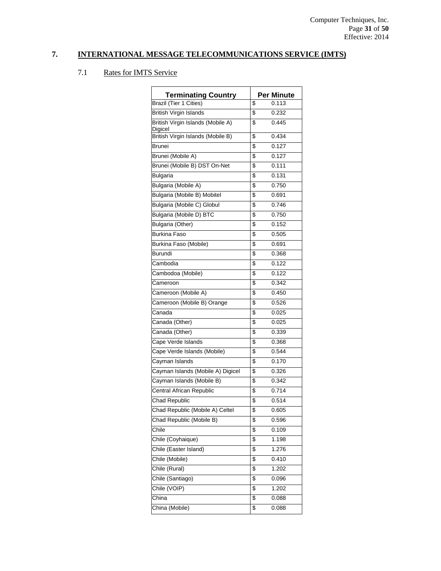| <b>Terminating Country</b>                   | <b>Per Minute</b> |
|----------------------------------------------|-------------------|
| <b>Brazil (Tier 1 Cities)</b>                | \$<br>0.113       |
| <b>British Virgin Islands</b>                | \$<br>0.232       |
| British Virgin Islands (Mobile A)            | \$<br>0.445       |
| Digicel<br>British Virgin Islands (Mobile B) | \$<br>0.434       |
| Brunei                                       | \$<br>0.127       |
| Brunei (Mobile A)                            | \$<br>0.127       |
| Brunei (Mobile B) DST On-Net                 | \$<br>0.111       |
| <b>Bulgaria</b>                              | \$<br>0.131       |
| Bulgaria (Mobile A)                          | \$<br>0.750       |
| Bulgaria (Mobile B) Mobitel                  | \$<br>0.691       |
| Bulgaria (Mobile C) Globul                   | \$<br>0.746       |
| Bulgaria (Mobile D) BTC                      | \$<br>0.750       |
| Bulgaria (Other)                             | \$<br>0.152       |
| <b>Burkina Faso</b>                          | \$<br>0.505       |
| Burkina Faso (Mobile)                        | \$<br>0.691       |
| Burundi                                      | \$<br>0.368       |
| Cambodia                                     | \$<br>0.122       |
| Cambodoa (Mobile)                            | \$<br>0.122       |
| Cameroon                                     | \$<br>0.342       |
| Cameroon (Mobile A)                          | \$<br>0.450       |
| Cameroon (Mobile B) Orange                   | \$<br>0.526       |
| Canada                                       | \$<br>0.025       |
| Canada (Other)                               | \$<br>0.025       |
| Canada (Other)                               | \$<br>0.339       |
| Cape Verde Islands                           | \$<br>0.368       |
| Cape Verde Islands (Mobile)                  | \$<br>0.544       |
| Cayman Islands                               | \$<br>0.170       |
| Cayman Islands (Mobile A) Digicel            | \$<br>0.326       |
| Cayman Islands (Mobile B)                    | \$<br>0.342       |
| Central African Republic                     | \$<br>0.714       |
| <b>Chad Republic</b>                         | \$<br>0.514       |
| Chad Republic (Mobile A) Celtel              | \$<br>0.605       |
| Chad Republic (Mobile B)                     | \$<br>0.596       |
| Chile                                        | \$<br>0.109       |
| Chile (Coyhaique)                            | \$<br>1.198       |
| Chile (Easter Island)                        | \$<br>1.276       |
| Chile (Mobile)                               | \$<br>0.410       |
| Chile (Rural)                                | \$<br>1.202       |
| Chile (Santiago)                             | \$<br>0.096       |
| Chile (VOIP)                                 | \$<br>1.202       |
| China                                        | \$<br>0.088       |
| China (Mobile)                               | \$<br>0.088       |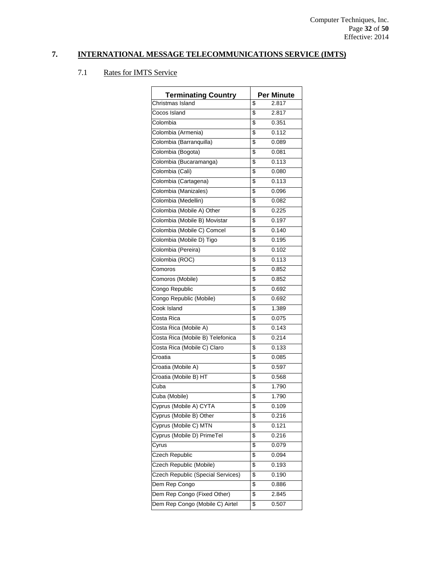| <b>Terminating Country</b>        | <b>Per Minute</b> |
|-----------------------------------|-------------------|
| Christmas Island                  | \$<br>2.817       |
| Cocos Island                      | \$<br>2.817       |
| Colombia                          | \$<br>0.351       |
| Colombia (Armenia)                | \$<br>0.112       |
| Colombia (Barranquilla)           | \$<br>0.089       |
| Colombia (Bogota)                 | \$<br>0.081       |
| Colombia (Bucaramanga)            | \$<br>0.113       |
| Colombia (Cali)                   | \$<br>0.080       |
| Colombia (Cartagena)              | \$<br>0.113       |
| Colombia (Manizales)              | \$<br>0.096       |
| Colombia (Medellin)               | \$<br>0.082       |
| Colombia (Mobile A) Other         | \$<br>0.225       |
| Colombia (Mobile B) Movistar      | \$<br>0.197       |
| Colombia (Mobile C) Comcel        | \$<br>0.140       |
| Colombia (Mobile D) Tigo          | \$<br>0.195       |
| Colombia (Pereira)                | \$<br>0.102       |
| Colombia (ROC)                    | \$<br>0.113       |
| Comoros                           | \$<br>0.852       |
| Comoros (Mobile)                  | \$<br>0.852       |
| Congo Republic                    | \$<br>0.692       |
| Congo Republic (Mobile)           | \$<br>0.692       |
| Cook Island                       | \$<br>1.389       |
| Costa Rica                        | \$<br>0.075       |
| Costa Rica (Mobile A)             | \$<br>0.143       |
| Costa Rica (Mobile B) Telefonica  | \$<br>0.214       |
| Costa Rica (Mobile C) Claro       | \$<br>0.133       |
| Croatia                           | \$<br>0.085       |
| Croatia (Mobile A)                | \$<br>0.597       |
| Croatia (Mobile B) HT             | \$<br>0.568       |
| Cuba                              | \$<br>1.790       |
| Cuba (Mobile)                     | \$<br>1.790       |
| Cyprus (Mobile A) CYTA            | \$<br>0.109       |
| Cyprus (Mobile B) Other           | \$<br>0.216       |
| Cyprus (Mobile C) MTN             | \$<br>0.121       |
| Cyprus (Mobile D) PrimeTel        | \$<br>0.216       |
| Cyrus                             | \$<br>0.079       |
| Czech Republic                    | \$<br>0.094       |
| Czech Republic (Mobile)           | \$<br>0.193       |
| Czech Republic (Special Services) | \$<br>0.190       |
| Dem Rep Congo                     | \$<br>0.886       |
| Dem Rep Congo (Fixed Other)       | \$<br>2.845       |
| Dem Rep Congo (Mobile C) Airtel   | \$<br>0.507       |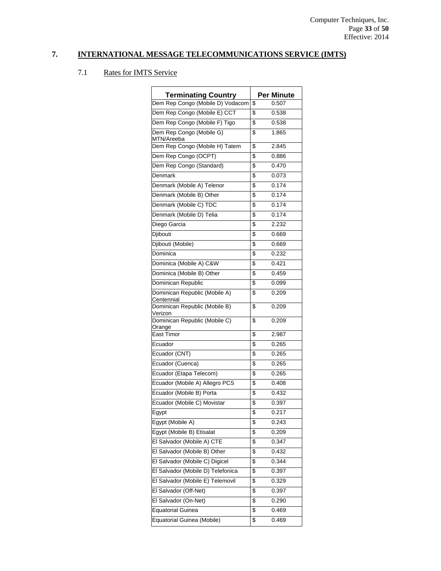| <b>Terminating Country</b>                  | <b>Per Minute</b> |
|---------------------------------------------|-------------------|
| Dem Rep Congo (Mobile D) Vodacom            | \$<br>0.507       |
| Dem Rep Congo (Mobile E) CCT                | \$<br>0.538       |
| Dem Rep Congo (Mobile F) Tigo               | \$<br>0.538       |
| Dem Rep Congo (Mobile G)                    | \$<br>1.865       |
| MTN/Areeba                                  |                   |
| Dem Rep Congo (Mobile H) Tatem              | \$<br>2.845       |
| Dem Rep Congo (OCPT)                        | \$<br>0.886       |
| Dem Rep Congo (Standard)                    | \$<br>0.470       |
| Denmark                                     | \$<br>0.073       |
| Denmark (Mobile A) Telenor                  | \$<br>0.174       |
| Denmark (Mobile B) Other                    | \$<br>0.174       |
| Denmark (Mobile C) TDC                      | \$<br>0.174       |
| Denmark (Mobile D) Telia                    | \$<br>0.174       |
| Diego Garcia                                | \$<br>2.232       |
| Djibouti                                    | \$<br>0.669       |
| Djibouti (Mobile)                           | \$<br>0.669       |
| Dominica                                    | \$<br>0.232       |
| Dominica (Mobile A) C&W                     | \$<br>0.421       |
| Dominica (Mobile B) Other                   | \$<br>0.459       |
| Dominican Republic                          | \$<br>0.099       |
| Dominican Republic (Mobile A)<br>Centennial | \$<br>0.209       |
| Dominican Republic (Mobile B)<br>Verizon    | \$<br>0.209       |
| Dominican Republic (Mobile C)<br>Orange     | \$<br>0.209       |
| East Timor                                  | \$<br>2.987       |
| Ecuador                                     | \$<br>0.265       |
| Ecuador (CNT)                               | \$<br>0.265       |
| Ecuador (Cuenca)                            | \$<br>0.265       |
| Ecuador (Etapa Telecom)                     | \$<br>0.265       |
| Ecuador (Mobile A) Allegro PCS              | \$<br>0.408       |
| Ecuador (Mobile B) Porta                    | \$<br>0.432       |
| Ecuador (Mobile C) Movistar                 | \$<br>0.397       |
| Egypt                                       | \$<br>0.217       |
| Egypt (Mobile A)                            | \$<br>0.243       |
| Egypt (Mobile B) Etisalat                   | \$<br>0.209       |
| El Salvador (Mobile A) CTE                  | \$<br>0.347       |
| El Salvador (Mobile B) Other                | \$<br>0.432       |
| El Salvador (Mobile C) Digicel              | \$<br>0.344       |
| El Salvador (Mobile D) Telefonica           | \$<br>0.397       |
| El Salvador (Mobile E) Telemovil            | \$<br>0.329       |
| El Salvador (Off-Net)                       | \$<br>0.397       |
| El Salvador (On-Net)                        | \$<br>0.290       |
| <b>Equatorial Guinea</b>                    | \$<br>0.469       |
| Equatorial Guinea (Mobile)                  | \$<br>0.469       |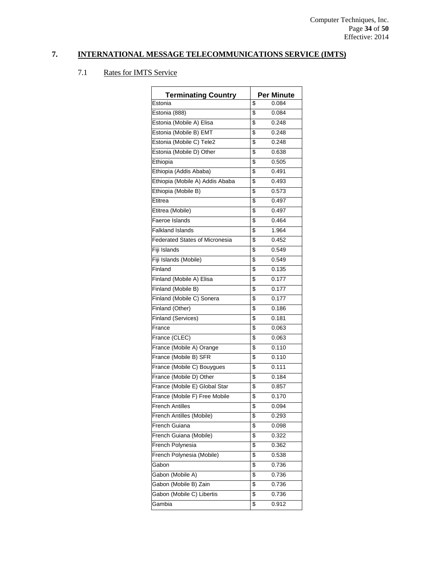| <b>Terminating Country</b>            |                         | <b>Per Minute</b> |
|---------------------------------------|-------------------------|-------------------|
| Estonia                               | \$                      | 0.084             |
| Estonia (888)                         | \$                      | 0.084             |
| Estonia (Mobile A) Elisa              | \$                      | 0.248             |
| Estonia (Mobile B) EMT                | \$                      | 0.248             |
| Estonia (Mobile C) Tele2              | \$                      | 0.248             |
| Estonia (Mobile D) Other              | \$                      | 0.638             |
| Ethiopia                              | \$                      | 0.505             |
| Ethiopia (Addis Ababa)                | \$                      | 0.491             |
| Ethiopia (Mobile A) Addis Ababa       | \$                      | 0.493             |
| Ethiopia (Mobile B)                   | \$                      | 0.573             |
| Etitrea                               | \$                      | 0.497             |
| Etitrea (Mobile)                      | \$                      | 0.497             |
| Faeroe Islands                        | \$                      | 0.464             |
| <b>Falkland Islands</b>               | \$                      | 1.964             |
| <b>Federated States of Micronesia</b> | \$                      | 0.452             |
| Fiji Islands                          | \$                      | 0.549             |
| Fiji Islands (Mobile)                 | \$                      | 0.549             |
| Finland                               | \$                      | 0.135             |
| Finland (Mobile A) Elisa              | \$                      | 0.177             |
| Finland (Mobile B)                    | \$                      | 0.177             |
| Finland (Mobile C) Sonera             | \$                      | 0.177             |
| Finland (Other)                       | \$                      | 0.186             |
| <b>Finland (Services)</b>             | \$                      | 0.181             |
| France                                | \$                      | 0.063             |
| France (CLEC)                         | \$                      | 0.063             |
| France (Mobile A) Orange              | \$                      | 0.110             |
| France (Mobile B) SFR                 | \$                      | 0.110             |
| France (Mobile C) Bouygues            | \$                      | 0.111             |
| France (Mobile D) Other               | \$                      | 0.184             |
| France (Mobile E) Global Star         | \$                      | 0.857             |
| France (Mobile F) Free Mobile         | \$                      | 0.170             |
| <b>French Antilles</b>                | $\overline{\mathbf{s}}$ | 0.094             |
| French Antilles (Mobile)              | \$                      | 0.293             |
| French Guiana                         | \$                      | 0.098             |
| French Guiana (Mobile)                | \$                      | 0.322             |
| French Polynesia                      | \$                      | 0.362             |
| French Polynesia (Mobile)             | \$                      | 0.538             |
| Gabon                                 | \$                      | 0.736             |
| Gabon (Mobile A)                      | \$                      | 0.736             |
| Gabon (Mobile B) Zain                 | \$                      | 0.736             |
| Gabon (Mobile C) Libertis             | \$                      | 0.736             |
| Gambia                                | \$                      | 0.912             |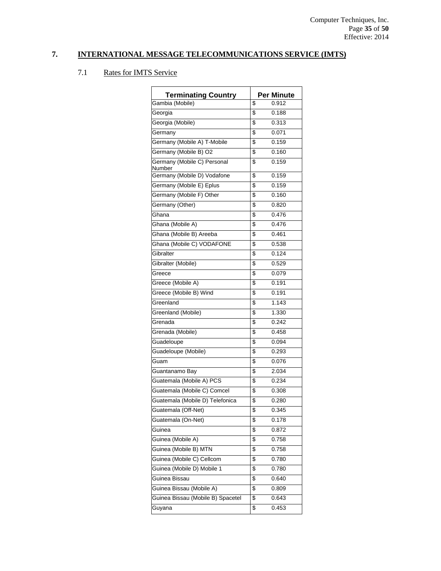| <b>Terminating Country</b>            | <b>Per Minute</b> |
|---------------------------------------|-------------------|
| Gambia (Mobile)                       | \$<br>0.912       |
| Georgia                               | \$<br>0.188       |
| Georgia (Mobile)                      | \$<br>0.313       |
| Germany                               | \$<br>0.071       |
| Germany (Mobile A) T-Mobile           | \$<br>0.159       |
| Germany (Mobile B) O2                 | \$<br>0.160       |
| Germany (Mobile C) Personal<br>Number | \$<br>0.159       |
| Germany (Mobile D) Vodafone           | \$<br>0.159       |
| Germany (Mobile E) Eplus              | \$<br>0.159       |
| Germany (Mobile F) Other              | \$<br>0.160       |
| Germany (Other)                       | \$<br>0.820       |
| Ghana                                 | \$<br>0.476       |
| Ghana (Mobile A)                      | \$<br>0.476       |
| Ghana (Mobile B) Areeba               | \$<br>0.461       |
| Ghana (Mobile C) VODAFONE             | \$<br>0.538       |
| Gibralter                             | \$<br>0.124       |
| Gibralter (Mobile)                    | \$<br>0.529       |
| Greece                                | \$<br>0.079       |
| Greece (Mobile A)                     | \$<br>0.191       |
| Greece (Mobile B) Wind                | \$<br>0.191       |
| Greenland                             | \$<br>1.143       |
| Greenland (Mobile)                    | \$<br>1.330       |
| Grenada                               | \$<br>0.242       |
| Grenada (Mobile)                      | \$<br>0.458       |
| Guadeloupe                            | \$<br>0.094       |
| Guadeloupe (Mobile)                   | \$<br>0.293       |
| Guam                                  | \$<br>0.076       |
| Guantanamo Bay                        | \$<br>2.034       |
| Guatemala (Mobile A) PCS              | \$<br>0.234       |
| Guatemala (Mobile C) Comcel           | \$<br>0.308       |
| Guatemala (Mobile D) Telefonica       | \$<br>0.280       |
| Guatemala (Off-Net)                   | \$<br>0.345       |
| Guatemala (On-Net)                    | \$<br>0.178       |
| Guinea                                | \$<br>0.872       |
| Guinea (Mobile A)                     | \$<br>0.758       |
| Guinea (Mobile B) MTN                 | \$<br>0.758       |
| Guinea (Mobile C) Cellcom             | \$<br>0.780       |
| Guinea (Mobile D) Mobile 1            | \$<br>0.780       |
| Guinea Bissau                         | \$<br>0.640       |
| Guinea Bissau (Mobile A)              | \$<br>0.809       |
| Guinea Bissau (Mobile B) Spacetel     | \$<br>0.643       |
| Guyana                                | \$<br>0.453       |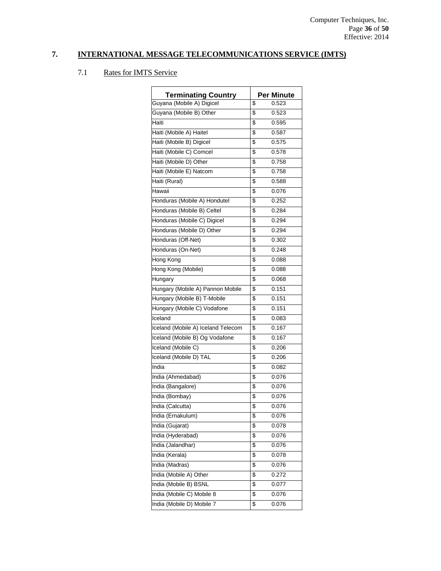| <b>Terminating Country</b>         | <b>Per Minute</b> |
|------------------------------------|-------------------|
| Guyana (Mobile A) Digicel          | \$<br>0.523       |
| Guyana (Mobile B) Other            | \$<br>0.523       |
| Haiti                              | \$<br>0.595       |
| Haiti (Mobile A) Haitel            | \$<br>0.587       |
| Haiti (Mobile B) Digicel           | \$<br>0.575       |
| Haiti (Mobile C) Comcel            | \$<br>0.578       |
| Haiti (Mobile D) Other             | \$<br>0.758       |
| Haiti (Mobile E) Natcom            | \$<br>0.758       |
| Haiti (Rural)                      | \$<br>0.588       |
| Hawaii                             | \$<br>0.076       |
| Honduras (Mobile A) Hondutel       | \$<br>0.252       |
| Honduras (Mobile B) Celtel         | \$<br>0.284       |
| Honduras (Mobile C) Digicel        | \$<br>0.294       |
| Honduras (Mobile D) Other          | \$<br>0.294       |
| Honduras (Off-Net)                 | \$<br>0.302       |
| Honduras (On-Net)                  | \$<br>0.248       |
| <b>Hong Kong</b>                   | \$<br>0.088       |
| Hong Kong (Mobile)                 | \$<br>0.088       |
| Hungary                            | \$<br>0.068       |
| Hungary (Mobile A) Pannon Mobile   | \$<br>0.151       |
| Hungary (Mobile B) T-Mobile        | \$<br>0.151       |
| Hungary (Mobile C) Vodafone        | \$<br>0.151       |
| Iceland                            | \$<br>0.083       |
| Iceland (Mobile A) Iceland Telecom | \$<br>0.167       |
| Iceland (Mobile B) Og Vodafone     | \$<br>0.167       |
| Iceland (Mobile C)                 | \$<br>0.206       |
| Iceland (Mobile D) TAL             | \$<br>0.206       |
| India                              | \$<br>0.082       |
| India (Ahmedabad)                  | \$<br>0.076       |
| India (Bangalore)                  | \$<br>0.076       |
| India (Bombay)                     | \$<br>0.076       |
| India (Calcutta)                   | \$<br>0.076       |
| India (Ernakulum)                  | \$<br>0.076       |
| India (Gujarat)                    | \$<br>0.078       |
| India (Hyderabad)                  | \$<br>0.076       |
| India (Jalandhar)                  | \$<br>0.076       |
| India (Kerala)                     | \$<br>0.078       |
| India (Madras)                     | \$<br>0.076       |
| India (Mobile A) Other             | \$<br>0.272       |
| India (Mobile B) BSNL              | \$<br>0.077       |
| India (Mobile C) Mobile 8          | \$<br>0.076       |
| India (Mobile D) Mobile 7          | \$<br>0.076       |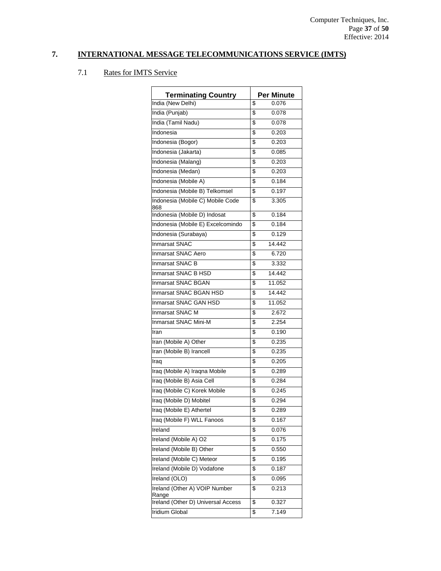| <b>Terminating Country</b>              | <b>Per Minute</b> |
|-----------------------------------------|-------------------|
| India (New Delhi)                       | 0.076<br>\$       |
| India (Punjab)                          | \$<br>0.078       |
| India (Tamil Nadu)                      | \$<br>0.078       |
| Indonesia                               | \$<br>0.203       |
| Indonesia (Bogor)                       | \$<br>0.203       |
| Indonesia (Jakarta)                     | \$<br>0.085       |
| Indonesia (Malang)                      | \$<br>0.203       |
| Indonesia (Medan)                       | \$<br>0.203       |
| Indonesia (Mobile A)                    | \$<br>0.184       |
| Indonesia (Mobile B) Telkomsel          | 0.197<br>\$       |
| Indonesia (Mobile C) Mobile Code<br>868 | \$<br>3.305       |
| Indonesia (Mobile D) Indosat            | 0.184<br>\$       |
| Indonesia (Mobile E) Excelcomindo       | 0.184<br>\$       |
| Indonesia (Surabaya)                    | 0.129<br>\$       |
| <b>Inmarsat SNAC</b>                    | \$<br>14.442      |
| <b>Inmarsat SNAC Aero</b>               | 6.720<br>\$       |
| <b>Inmarsat SNAC B</b>                  | \$<br>3.332       |
| Inmarsat SNAC B HSD                     | \$<br>14.442      |
| <b>Inmarsat SNAC BGAN</b>               | \$<br>11.052      |
| Inmarsat SNAC BGAN HSD                  | \$<br>14.442      |
| Inmarsat SNAC GAN HSD                   | 11.052<br>\$      |
| Inmarsat SNAC M                         | \$<br>2.672       |
| Inmarsat SNAC Mini-M                    | \$<br>2.254       |
| Iran                                    | \$<br>0.190       |
| Iran (Mobile A) Other                   | \$<br>0.235       |
| Iran (Mobile B) Irancell                | \$<br>0.235       |
| Iraq                                    | \$<br>0.205       |
| Iraq (Mobile A) Iraqna Mobile           | \$<br>0.289       |
| Iraq (Mobile B) Asia Cell               | \$<br>0.284       |
| Iraq (Mobile C) Korek Mobile            | \$<br>0.245       |
| Iraq (Mobile D) Mobitel                 | \$<br>0.294       |
| Iraq (Mobile E) Athertel                | \$<br>0.289       |
| Iraq (Mobile F) WLL Fanoos              | \$<br>0.167       |
| Ireland                                 | \$<br>0.076       |
| Ireland (Mobile A) O2                   | \$<br>0.175       |
| Ireland (Mobile B) Other                | \$<br>0.550       |
| Ireland (Mobile C) Meteor               | 0.195<br>\$       |
| Ireland (Mobile D) Vodafone             | \$<br>0.187       |
| Ireland (OLO)                           | \$<br>0.095       |
| Ireland (Other A) VOIP Number<br>Range  | \$<br>0.213       |
| Ireland (Other D) Universal Access      | \$<br>0.327       |
| Iridium Global                          | \$<br>7.149       |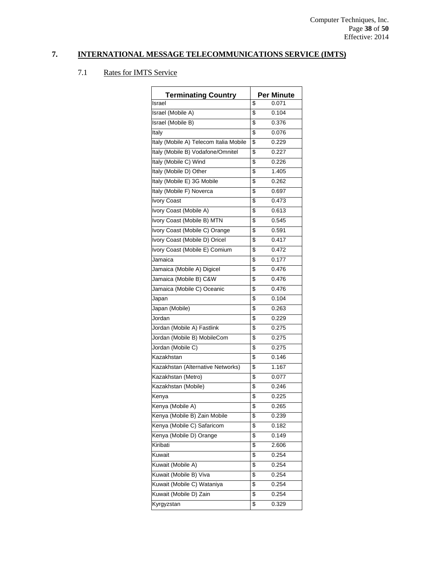| <b>Terminating Country</b>             | <b>Per Minute</b> |
|----------------------------------------|-------------------|
| Israel                                 | \$<br>0.071       |
| Israel (Mobile A)                      | \$<br>0.104       |
| Israel (Mobile B)                      | \$<br>0.376       |
| Italy                                  | \$<br>0.076       |
| Italy (Mobile A) Telecom Italia Mobile | \$<br>0.229       |
| Italy (Mobile B) Vodafone/Omnitel      | \$<br>0.227       |
| Italy (Mobile C) Wind                  | \$<br>0.226       |
| Italy (Mobile D) Other                 | \$<br>1.405       |
| Italy (Mobile E) 3G Mobile             | \$<br>0.262       |
| Italy (Mobile F) Noverca               | \$<br>0.697       |
| <b>Ivory Coast</b>                     | \$<br>0.473       |
| Ivory Coast (Mobile A)                 | \$<br>0.613       |
| Ivory Coast (Mobile B) MTN             | \$<br>0.545       |
| Ivory Coast (Mobile C) Orange          | \$<br>0.591       |
| Ivory Coast (Mobile D) Oricel          | \$<br>0.417       |
| Ivory Coast (Mobile E) Comium          | \$<br>0.472       |
| Jamaica                                | \$<br>0.177       |
| Jamaica (Mobile A) Digicel             | \$<br>0.476       |
| Jamaica (Mobile B) C&W                 | \$<br>0.476       |
| Jamaica (Mobile C) Oceanic             | \$<br>0.476       |
| Japan                                  | \$<br>0.104       |
| Japan (Mobile)                         | \$<br>0.263       |
| Jordan                                 | \$<br>0.229       |
| Jordan (Mobile A) Fastlink             | \$<br>0.275       |
| Jordan (Mobile B) MobileCom            | \$<br>0.275       |
| Jordan (Mobile C)                      | \$<br>0.275       |
| Kazakhstan                             | \$<br>0.146       |
| Kazakhstan (Alternative Networks)      | \$<br>1.167       |
| Kazakhstan (Metro)                     | \$<br>0.077       |
| Kazakhstan (Mobile)                    | \$<br>0.246       |
| Kenya                                  | \$<br>0.225       |
| Kenya (Mobile A)                       | \$<br>0.265       |
| Kenya (Mobile B) Zain Mobile           | \$<br>0.239       |
| Kenya (Mobile C) Safaricom             | \$<br>0.182       |
| Kenya (Mobile D) Orange                | \$<br>0.149       |
| Kiribati                               | \$<br>2.606       |
| Kuwait                                 | \$<br>0.254       |
| Kuwait (Mobile A)                      | \$<br>0.254       |
| Kuwait (Mobile B) Viva                 | \$<br>0.254       |
| Kuwait (Mobile C) Wataniya             | \$<br>0.254       |
| Kuwait (Mobile D) Zain                 | \$<br>0.254       |
| Kyrgyzstan                             | \$<br>0.329       |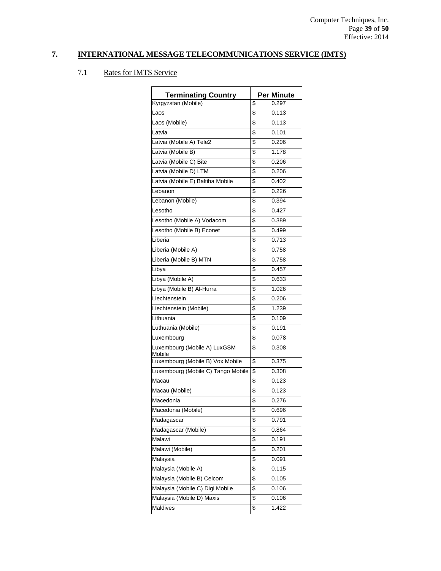| <b>Terminating Country</b>             | <b>Per Minute</b> |
|----------------------------------------|-------------------|
| Kyrgyzstan (Mobile)                    | \$<br>0.297       |
| Laos                                   | \$<br>0.113       |
| Laos (Mobile)                          | \$<br>0.113       |
| Latvia                                 | \$<br>0.101       |
| Latvia (Mobile A) Tele2                | \$<br>0.206       |
| Latvia (Mobile B)                      | \$<br>1.178       |
| Latvia (Mobile C) Bite                 | \$<br>0.206       |
| Latvia (Mobile D) LTM                  | \$<br>0.206       |
| Latvia (Mobile E) Baltiha Mobile       | \$<br>0.402       |
| Lebanon                                | \$<br>0.226       |
| Lebanon (Mobile)                       | \$<br>0.394       |
| Lesotho                                | \$<br>0.427       |
| Lesotho (Mobile A) Vodacom             | \$<br>0.389       |
| Lesotho (Mobile B) Econet              | \$<br>0.499       |
| Liberia                                | \$<br>0.713       |
| Liberia (Mobile A)                     | \$<br>0.758       |
| Liberia (Mobile B) MTN                 | \$<br>0.758       |
| Libya                                  | \$<br>0.457       |
| Libya (Mobile A)                       | \$<br>0.633       |
| Libya (Mobile B) Al-Hurra              | \$<br>1.026       |
| Liechtenstein                          | \$<br>0.206       |
| Liechtenstein (Mobile)                 | \$<br>1.239       |
| Lithuania                              | \$<br>0.109       |
| Luthuania (Mobile)                     | \$<br>0.191       |
| Luxembourg                             | \$<br>0.078       |
| Luxembourg (Mobile A) LuxGSM<br>Mobile | \$<br>0.308       |
| Luxembourg (Mobile B) Vox Mobile       | \$<br>0.375       |
| Luxembourg (Mobile C) Tango Mobile     | \$<br>0.308       |
| Macau                                  | \$<br>0.123       |
| Macau (Mobile)                         | \$<br>0.123       |
| Macedonia                              | \$<br>0.276       |
| Macedonia (Mobile)                     | \$<br>0.696       |
| Madagascar                             | \$<br>0.791       |
| Madagascar (Mobile)                    | \$<br>0.864       |
| Malawi                                 | \$<br>0.191       |
| Malawi (Mobile)                        | \$<br>0.201       |
| Malaysia                               | \$<br>0.091       |
| Malaysia (Mobile A)                    | \$<br>0.115       |
| Malaysia (Mobile B) Celcom             | \$<br>0.105       |
| Malaysia (Mobile C) Digi Mobile        | \$<br>0.106       |
| Malaysia (Mobile D) Maxis              | \$<br>0.106       |
| Maldives                               | \$<br>1.422       |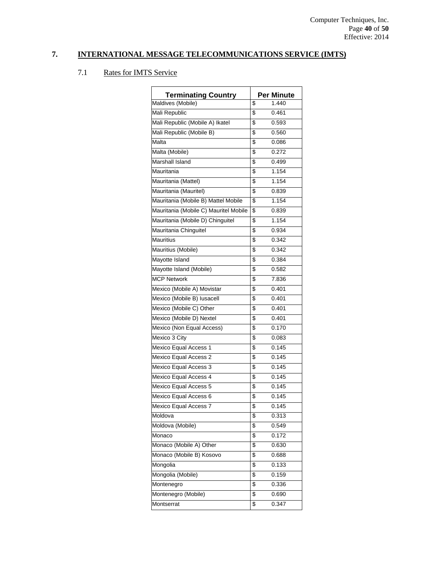| <b>Terminating Country</b>            | <b>Per Minute</b> |
|---------------------------------------|-------------------|
| Maldives (Mobile)                     | \$<br>1.440       |
| Mali Republic                         | \$<br>0.461       |
| Mali Republic (Mobile A) Ikatel       | \$<br>0.593       |
| Mali Republic (Mobile B)              | \$<br>0.560       |
| Malta                                 | \$<br>0.086       |
| Malta (Mobile)                        | \$<br>0.272       |
| Marshall Island                       | \$<br>0.499       |
| Mauritania                            | \$<br>1.154       |
| Mauritania (Mattel)                   | \$<br>1.154       |
| Mauritania (Mauritel)                 | \$<br>0.839       |
| Mauritania (Mobile B) Mattel Mobile   | \$<br>1.154       |
| Mauritania (Mobile C) Mauritel Mobile | \$<br>0.839       |
| Mauritania (Mobile D) Chinguitel      | \$<br>1.154       |
| Mauritania Chinguitel                 | \$<br>0.934       |
| Mauritius                             | \$<br>0.342       |
| Mauritius (Mobile)                    | \$<br>0.342       |
| Mayotte Island                        | \$<br>0.384       |
| Mayotte Island (Mobile)               | \$<br>0.582       |
| <b>MCP Network</b>                    | \$<br>7.836       |
| Mexico (Mobile A) Movistar            | \$<br>0.401       |
| Mexico (Mobile B) lusacell            | \$<br>0.401       |
| Mexico (Mobile C) Other               | \$<br>0.401       |
| Mexico (Mobile D) Nextel              | \$<br>0.401       |
| Mexico (Non Equal Access)             | \$<br>0.170       |
| Mexico 3 City                         | \$<br>0.083       |
| Mexico Equal Access 1                 | \$<br>0.145       |
| Mexico Equal Access 2                 | \$<br>0.145       |
| Mexico Equal Access 3                 | \$<br>0.145       |
| Mexico Equal Access 4                 | \$<br>0.145       |
| Mexico Equal Access 5                 | \$<br>0.145       |
| Mexico Equal Access 6                 | \$<br>0.145       |
| Mexico Equal Access 7                 | \$<br>0.145       |
| Moldova                               | \$<br>0.313       |
| Moldova (Mobile)                      | \$<br>0.549       |
| Monaco                                | \$<br>0.172       |
| Monaco (Mobile A) Other               | \$<br>0.630       |
| Monaco (Mobile B) Kosovo              | \$<br>0.688       |
| Mongolia                              | \$<br>0.133       |
| Mongolia (Mobile)                     | \$<br>0.159       |
| Montenegro                            | \$<br>0.336       |
| Montenegro (Mobile)                   | \$<br>0.690       |
| Montserrat                            | \$<br>0.347       |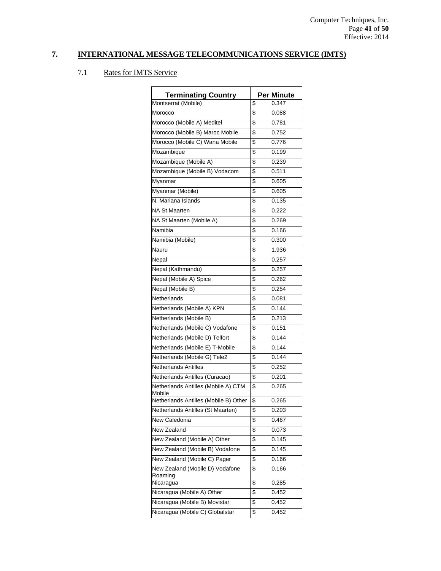| <b>Terminating Country</b>                    | Per Minute  |
|-----------------------------------------------|-------------|
| Montserrat (Mobile)                           | \$<br>0.347 |
| Morocco                                       | \$<br>0.088 |
| Morocco (Mobile A) Meditel                    | \$<br>0.781 |
| Morocco (Mobile B) Maroc Mobile               | \$<br>0.752 |
| Morocco (Mobile C) Wana Mobile                | \$<br>0.776 |
| Mozambique                                    | \$<br>0.199 |
| Mozambique (Mobile A)                         | \$<br>0.239 |
| Mozambique (Mobile B) Vodacom                 | \$<br>0.511 |
| Myanmar                                       | \$<br>0.605 |
| Myanmar (Mobile)                              | \$<br>0.605 |
| N. Mariana Islands                            | \$<br>0.135 |
| NA St Maarten                                 | \$<br>0.222 |
| NA St Maarten (Mobile A)                      | \$<br>0.269 |
| Namibia                                       | \$<br>0.166 |
| Namibia (Mobile)                              | \$<br>0.300 |
| Nauru                                         | \$<br>1.936 |
| Nepal                                         | \$<br>0.257 |
| Nepal (Kathmandu)                             | \$<br>0.257 |
| Nepal (Mobile A) Spice                        | \$<br>0.262 |
| Nepal (Mobile B)                              | \$<br>0.254 |
| Netherlands                                   | \$<br>0.081 |
| Netherlands (Mobile A) KPN                    | \$<br>0.144 |
| Netherlands (Mobile B)                        | \$<br>0.213 |
| Netherlands (Mobile C) Vodafone               | \$<br>0.151 |
| Netherlands (Mobile D) Telfort                | \$<br>0.144 |
| Netherlands (Mobile E) T-Mobile               | \$<br>0.144 |
| Netherlands (Mobile G) Tele2                  | \$<br>0.144 |
| <b>Netherlands Antilles</b>                   | \$<br>0.252 |
| Netherlands Antilles (Curacao)                | \$<br>0.201 |
| Netherlands Antilles (Mobile A) CTM<br>Mobile | \$<br>0.265 |
| Netherlands Antilles (Mobile B) Other         | \$<br>0.265 |
| Netherlands Antilles (St Maarten)             | \$<br>0.203 |
| New Caledonia                                 | \$<br>0.467 |
| New Zealand                                   | \$<br>0.073 |
| New Zealand (Mobile A) Other                  | \$<br>0.145 |
| New Zealand (Mobile B) Vodafone               | \$<br>0.145 |
| New Zealand (Mobile C) Pager                  | \$<br>0.166 |
| New Zealand (Mobile D) Vodafone<br>Roaming    | \$<br>0.166 |
| Nicaragua                                     | \$<br>0.285 |
| Nicaragua (Mobile A) Other                    | \$<br>0.452 |
| Nicaragua (Mobile B) Movistar                 | \$<br>0.452 |
| Nicaragua (Mobile C) Globalstar               | \$<br>0.452 |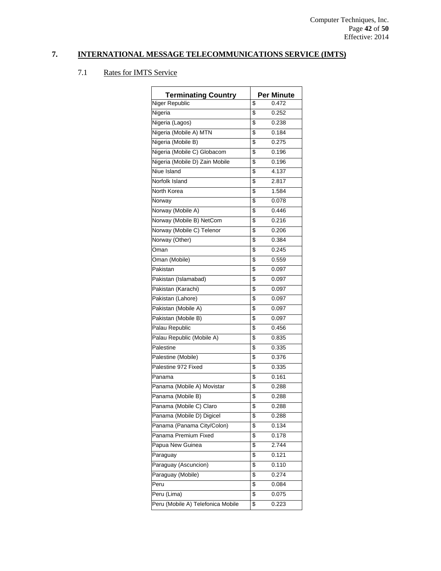| <b>Terminating Country</b>        |                         | <b>Per Minute</b> |
|-----------------------------------|-------------------------|-------------------|
| Niger Republic                    | \$                      | 0.472             |
| Nigeria                           | \$                      | 0.252             |
| Nigeria (Lagos)                   | \$                      | 0.238             |
| Nigeria (Mobile A) MTN            | \$                      | 0.184             |
| Nigeria (Mobile B)                | \$                      | 0.275             |
| Nigeria (Mobile C) Globacom       | \$                      | 0.196             |
| Nigeria (Mobile D) Zain Mobile    | \$                      | 0.196             |
| Niue Island                       | \$                      | 4.137             |
| Norfolk Island                    | \$                      | 2.817             |
| North Korea                       | \$                      | 1.584             |
| Norway                            | \$                      | 0.078             |
| Norway (Mobile A)                 | \$                      | 0.446             |
| Norway (Mobile B) NetCom          | \$                      | 0.216             |
| Norway (Mobile C) Telenor         | \$                      | 0.206             |
| Norway (Other)                    | \$                      | 0.384             |
| Oman                              | \$                      | 0.245             |
| Oman (Mobile)                     | \$                      | 0.559             |
| Pakistan                          | \$                      | 0.097             |
| Pakistan (Islamabad)              | \$                      | 0.097             |
| Pakistan (Karachi)                | \$                      | 0.097             |
| Pakistan (Lahore)                 | \$                      | 0.097             |
| Pakistan (Mobile A)               | \$                      | 0.097             |
| Pakistan (Mobile B)               | \$                      | 0.097             |
| Palau Republic                    | \$                      | 0.456             |
| Palau Republic (Mobile A)         | \$                      | 0.835             |
| Palestine                         | \$                      | 0.335             |
| Palestine (Mobile)                | \$                      | 0.376             |
| Palestine 972 Fixed               | \$                      | 0.335             |
| Panama                            | \$                      | 0.161             |
| Panama (Mobile A) Movistar        | \$                      | 0.288             |
| Panama (Mobile B)                 | \$                      | 0.288             |
| Panama (Mobile C) Claro           | $\overline{\mathbf{s}}$ | 0.288             |
| Panama (Mobile D) Digicel         | \$                      | 0.288             |
| Panama (Panama City/Colon)        | \$                      | 0.134             |
| Panama Premium Fixed              | \$                      | 0.178             |
| Papua New Guinea                  | \$                      | 2.744             |
| Paraguay                          | \$                      | 0.121             |
| Paraguay (Ascuncion)              | \$                      | 0.110             |
| Paraguay (Mobile)                 | \$                      | 0.274             |
| Peru                              | \$                      | 0.084             |
| Peru (Lima)                       | \$                      | 0.075             |
| Peru (Mobile A) Telefonica Mobile | \$                      | 0.223             |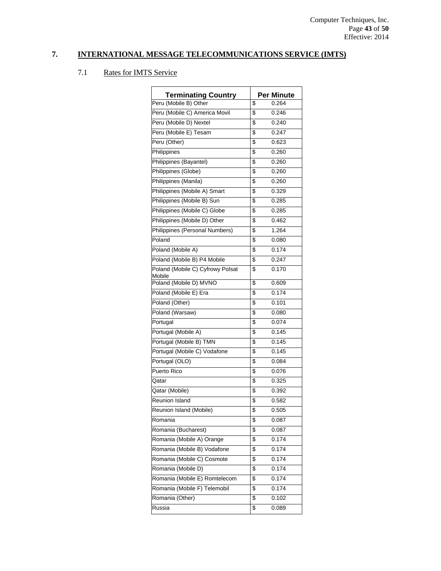| <b>Terminating Country</b>       | <b>Per Minute</b> |
|----------------------------------|-------------------|
| Peru (Mobile B) Other            | \$<br>0.264       |
| Peru (Mobile C) America Movil    | \$<br>0.246       |
| Peru (Mobile D) Nextel           | \$<br>0.240       |
| Peru (Mobile E) Tesam            | \$<br>0.247       |
| Peru (Other)                     | \$<br>0.623       |
| Philippines                      | \$<br>0.260       |
| Philippines (Bayantel)           | \$<br>0.260       |
| Philippines (Globe)              | \$<br>0.260       |
| Philippines (Manila)             | \$<br>0.260       |
| Philippines (Mobile A) Smart     | \$<br>0.329       |
| Philippines (Mobile B) Sun       | \$<br>0.285       |
| Philippines (Mobile C) Globe     | \$<br>0.285       |
| Philippines (Mobile D) Other     | \$<br>0.462       |
| Philippines (Personal Numbers)   | \$<br>1.264       |
| Poland                           | \$<br>0.080       |
| Poland (Mobile A)                | \$<br>0.174       |
| Poland (Mobile B) P4 Mobile      | \$<br>0.247       |
| Poland (Mobile C) Cyfrowy Polsat | \$<br>0.170       |
| Mobile<br>Poland (Mobile D) MVNO | \$<br>0.609       |
| Poland (Mobile E) Era            | \$<br>0.174       |
| Poland (Other)                   | \$<br>0.101       |
| Poland (Warsaw)                  | \$<br>0.080       |
| Portugal                         | \$<br>0.074       |
| Portugal (Mobile A)              | \$<br>0.145       |
| Portugal (Mobile B) TMN          | \$<br>0.145       |
| Portugal (Mobile C) Vodafone     | \$<br>0.145       |
| Portugal (OLO)                   | \$<br>0.084       |
| Puerto Rico                      | \$<br>0.076       |
| Qatar                            | \$<br>0.325       |
| Qatar (Mobile)                   | \$<br>0.392       |
| Reunion Island                   | \$<br>0.582       |
| Reunion Island (Mobile)          | \$<br>0.505       |
| Romania                          | \$<br>0.087       |
| Romania (Bucharest)              | \$<br>0.087       |
| Romania (Mobile A) Orange        | \$<br>0.174       |
| Romania (Mobile B) Vodafone      | \$<br>0.174       |
| Romania (Mobile C) Cosmote       | \$<br>0.174       |
| Romania (Mobile D)               | \$<br>0.174       |
| Romania (Mobile E) Romtelecom    | \$<br>0.174       |
| Romania (Mobile F) Telemobil     | \$<br>0.174       |
| Romania (Other)                  | \$<br>0.102       |
| Russia                           | \$<br>0.089       |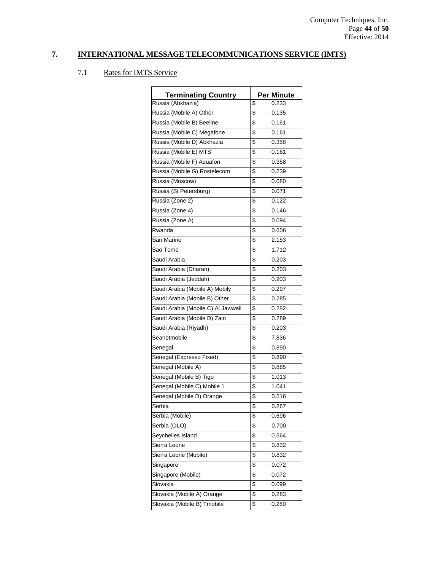| <b>Terminating Country</b>         |                         | <b>Per Minute</b> |
|------------------------------------|-------------------------|-------------------|
| Russia (Abkhazia)                  | \$                      | 0.233             |
| Russia (Mobile A) Other            | \$                      | 0.135             |
| Russia (Mobile B) Beeline          | \$                      | 0.161             |
| Russia (Mobile C) Megafone         | \$                      | 0.161             |
| Russia (Mobile D) Abkhazia         | \$                      | 0.358             |
| Russia (Mobile E) MTS              |                         | 0.161             |
|                                    | \$                      |                   |
| Russia (Mobile F) Aquafon          | \$                      | 0.358             |
| Russia (Mobile G) Rostelecom       | \$                      | 0.239             |
| Russia (Moscow)                    | \$                      | 0.080             |
| Russia (St Petersburg)             | \$                      | 0.071             |
| Russia (Zone 2)                    | \$                      | 0.122             |
| Russia (Zone 4)                    | \$                      | 0.146             |
| Russia (Zone A)                    | \$                      | 0.094             |
| Rwanda                             | \$                      | 0.606             |
| San Marino                         | \$                      | 2.153             |
| Sao Tome                           | \$                      | 1.712             |
| Saudi Arabia                       | \$                      | 0.203             |
| Saudi Arabia (Dharan)              | \$                      | 0.203             |
| Saudi Arabia (Jeddah)              | \$                      | 0.203             |
| Saudi Arabia (Mobile A) Mobily     | \$                      | 0.297             |
| Saudi Arabia (Mobile B) Other      | \$                      | 0.285             |
| Saudi Arabia (Mobile C) Al Jawwall | \$                      | 0.282             |
| Saudi Arabia (Mobile D) Zain       | \$                      | 0.289             |
| Saudi Arabia (Riyadh)              | \$                      | 0.203             |
| Seanetmobile                       | \$                      | 7.836             |
| Senegal                            | \$                      | 0.890             |
| Senegal (Expresso Fixed)           | \$                      | 0.890             |
| Senegal (Mobile A)                 | \$                      | 0.885             |
| Senegal (Mobile B) Tigo            | \$                      | 1.013             |
| Senegal (Mobile C) Mobile 1        | \$                      | 1.041             |
| Senegal (Mobile D) Orange          | \$                      | 0.516             |
| Serbia                             | $\overline{\mathbf{s}}$ | 0.267             |
| Serbia (Mobile)                    | \$                      | 0.696             |
| Serbia (OLO)                       | \$                      | 0.700             |
| Seychelles Island                  | \$                      | 0.564             |
| Sierra Leone                       | \$                      | 0.832             |
| Sierra Leone (Mobile)              | \$                      | 0.832             |
| Singapore                          | \$                      | 0.072             |
| Singapore (Mobile)                 | \$                      | 0.072             |
| Slovakia                           | \$                      | 0.099             |
| Slovakia (Mobile A) Orange         | \$                      | 0.283             |
| Slovakia (Mobile B) Tmobile        | \$                      | 0.280             |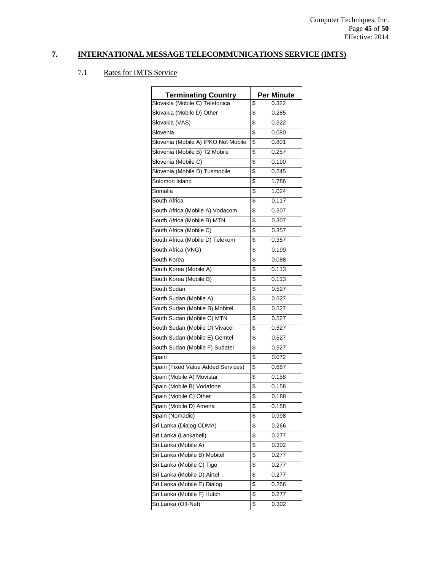| <b>Terminating Country</b>          | <b>Per Minute</b> |
|-------------------------------------|-------------------|
| Slovakia (Mobile C) Telefonica      | \$<br>0.322       |
| Slovakia (Mobile D) Other           | \$<br>0.285       |
| Slovakia (VAS)                      | \$<br>0.322       |
| Slovenia                            | \$<br>0.080       |
| Slovenia (Mobile A) IPKO Net Mobile | \$<br>0.801       |
| Slovenia (Mobile B) T2 Mobile       | \$<br>0.257       |
|                                     | \$                |
| Slovenia (Mobile C)                 | 0.190             |
| Slovenia (Mobile D) Tusmobile       | \$<br>0.245       |
| Solomon Island                      | \$<br>1.786       |
| Somalia                             | \$<br>1.024       |
| South Africa                        | \$<br>0.117       |
| South Africa (Mobile A) Vodacom     | \$<br>0.307       |
| South Africa (Mobile B) MTN         | \$<br>0.307       |
| South Africa (Mobile C)             | \$<br>0.357       |
| South Africa (Mobile D) Telekom     | \$<br>0.357       |
| South Africa (VNG)                  | \$<br>0.199       |
| South Korea                         | \$<br>0.088       |
| South Korea (Mobile A)              | \$<br>0.113       |
| South Korea (Mobile B)              | \$<br>0.113       |
| South Sudan                         | \$<br>0.527       |
| South Sudan (Mobile A)              | \$<br>0.527       |
| South Sudan (Mobile B) Mobitel      | \$<br>0.527       |
| South Sudan (Mobile C) MTN          | \$<br>0.527       |
| South Sudan (Mobile D) Vivacel      | \$<br>0.527       |
| South Sudan (Mobile E) Gemtel       | \$<br>0.527       |
| South Sudan (Mobile F) Sudatel      | \$<br>0.527       |
| Spain                               | \$<br>0.072       |
| Spain (Fixed Value Added Services)  | \$<br>0.667       |
| Spain (Mobile A) Movistar           | \$<br>0.158       |
| Spain (Mobile B) Vodafone           | \$<br>0.158       |
| Spain (Mobile C) Other              | \$<br>0.188       |
| Spain (Mobile D) Amena              | \$<br>0.158       |
| Spain (Nomadic)                     | \$<br>0.998       |
| Sri Lanka (Dialog CDMA)             | \$<br>0.266       |
| Sri Lanka (Lankabell)               | \$<br>0.277       |
| Sri Lanka (Mobile A)                | \$<br>0.302       |
| Sri Lanka (Mobile B) Mobitel        | \$<br>0.277       |
| Sri Lanka (Mobile C) Tigo           | \$<br>0.277       |
| Sri Lanka (Mobile D) Airtel         | \$<br>0.277       |
| Sri Lanka (Mobile E) Dialog         | \$<br>0.266       |
| Sri Lanka (Mobile F) Hutch          | \$<br>0.277       |
| Sri Lanka (Off-Net)                 | \$<br>0.302       |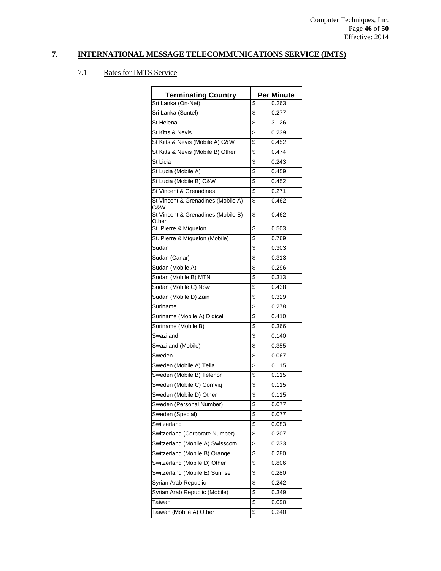| <b>Terminating Country</b>                  | <b>Per Minute</b> |
|---------------------------------------------|-------------------|
| Sri Lanka (On-Net)                          | \$<br>0.263       |
| Sri Lanka (Suntel)                          | \$<br>0.277       |
| St Helena                                   | \$<br>3.126       |
| St Kitts & Nevis                            | \$<br>0.239       |
| St Kitts & Nevis (Mobile A) C&W             | \$<br>0.452       |
| St Kitts & Nevis (Mobile B) Other           | \$<br>0.474       |
| St Licia                                    | \$<br>0.243       |
| St Lucia (Mobile A)                         | \$<br>0.459       |
| St Lucia (Mobile B) C&W                     | \$<br>0.452       |
| St Vincent & Grenadines                     | \$<br>0.271       |
| St Vincent & Grenadines (Mobile A)<br>C&W   | \$<br>0.462       |
| St Vincent & Grenadines (Mobile B)<br>Other | \$<br>0.462       |
| St. Pierre & Miquelon                       | \$<br>0.503       |
| St. Pierre & Miquelon (Mobile)              | \$<br>0.769       |
| Sudan                                       | \$<br>0.303       |
| Sudan (Canar)                               | \$<br>0.313       |
| Sudan (Mobile A)                            | \$<br>0.296       |
| Sudan (Mobile B) MTN                        | \$<br>0.313       |
| Sudan (Mobile C) Now                        | \$<br>0.438       |
| Sudan (Mobile D) Zain                       | \$<br>0.329       |
| Suriname                                    | \$<br>0.278       |
| Suriname (Mobile A) Digicel                 | \$<br>0.410       |
| Suriname (Mobile B)                         | \$<br>0.366       |
| Swaziland                                   | \$<br>0.140       |
| Swaziland (Mobile)                          | \$<br>0.355       |
| Sweden                                      | \$<br>0.067       |
| Sweden (Mobile A) Telia                     | \$<br>0.115       |
| Sweden (Mobile B) Telenor                   | \$<br>0.115       |
| Sweden (Mobile C) Comviq                    | \$<br>0.115       |
| Sweden (Mobile D) Other                     | \$<br>0.115       |
| Sweden (Personal Number)                    | \$<br>0.077       |
| Sweden (Special)                            | \$<br>0.077       |
| Switzerland                                 | \$<br>0.083       |
| Switzerland (Corporate Number)              | \$<br>0.207       |
| Switzerland (Mobile A) Swisscom             | \$<br>0.233       |
| Switzerland (Mobile B) Orange               | \$<br>0.280       |
| Switzerland (Mobile D) Other                | \$<br>0.806       |
| Switzerland (Mobile E) Sunrise              | \$<br>0.280       |
| Syrian Arab Republic                        | \$<br>0.242       |
| Syrian Arab Republic (Mobile)               | \$<br>0.349       |
| Taiwan                                      | \$<br>0.090       |
| Taiwan (Mobile A) Other                     | \$<br>0.240       |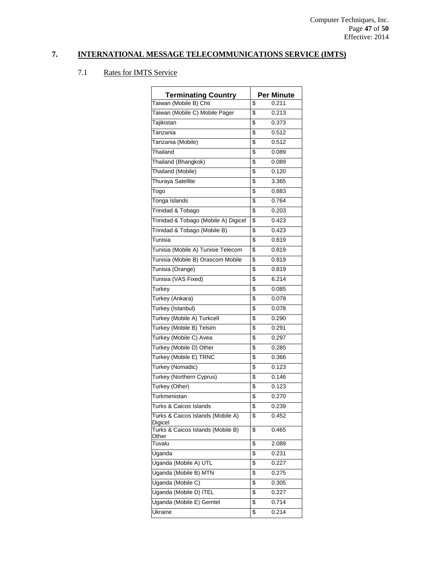| <b>Terminating Country</b><br>Taiwan (Mobile B) Chti | \$<br><b>Per Minute</b><br>0.211 |
|------------------------------------------------------|----------------------------------|
| Taiwan (Mobile C) Mobile Pager                       | \$<br>0.213                      |
|                                                      | \$<br>0.373                      |
| Tajikistan                                           |                                  |
| Tanzania                                             | \$<br>0.512                      |
| Tanzania (Mobile)                                    | \$<br>0.512                      |
| Thailand                                             | \$<br>0.089                      |
| Thailand (Bhangkok)                                  | \$<br>0.089                      |
| Thailand (Mobile)                                    | \$<br>0.120                      |
| Thuraya Satellite                                    | \$<br>3.365                      |
| Togo                                                 | \$<br>0.883                      |
| Tonga Islands                                        | \$<br>0.764                      |
| Trinidad & Tobago                                    | \$<br>0.203                      |
| Trinidad & Tobago (Mobile A) Digicel                 | \$<br>0.423                      |
| Trinidad & Tobago (Mobile B)                         | \$<br>0.423                      |
| Tunisia                                              | \$<br>0.819                      |
| Tunisia (Mobile A) Tunisie Telecom                   | \$<br>0.819                      |
| Tunisia (Mobile B) Orascom Mobile                    | \$<br>0.819                      |
| Tunisia (Orange)                                     | \$<br>0.819                      |
| Tunisia (VAS Fixed)                                  | \$<br>6.214                      |
| Turkey                                               | \$<br>0.085                      |
| Turkey (Ankara)                                      | \$<br>0.078                      |
| Turkey (Istanbul)                                    | \$<br>0.078                      |
| Turkey (Mobile A) Turkcell                           | \$<br>0.290                      |
| Turkey (Mobile B) Telsim                             | \$<br>0.291                      |
| Turkey (Mobile C) Avea                               | \$<br>0.297                      |
| Turkey (Mobile D) Other                              | \$<br>0.285                      |
| Turkey (Mobile E) TRNC                               | \$<br>0.366                      |
| Turkey (Nomadic)                                     | \$<br>0.123                      |
| Turkey (Northern Cyprus)                             | \$<br>0.146                      |
| Turkey (Other)                                       | \$<br>0.123                      |
| Turkmenistan                                         | \$<br>0.270                      |
| Turks & Caicos Islands                               | \$<br>0.239                      |
| Turks & Caicos Islands (Mobile A)                    | \$                               |
| Digicel                                              | 0.452                            |
| Turks & Caicos Islands (Mobile B)<br>Other           | \$<br>0.465                      |
| Tuvalu                                               | \$<br>2.089                      |
| Uganda                                               | \$<br>0.231                      |
| Uganda (Mobile A) UTL                                | \$<br>0.227                      |
| Uganda (Mobile B) MTN                                | \$<br>0.275                      |
| Uganda (Mobile C)                                    | \$<br>0.305                      |
| Uganda (Mobile D) ITEL                               | \$<br>0.227                      |
| Uganda (Mobile E) Gemtel                             | \$<br>0.714                      |
| Ukraine                                              | \$<br>0.214                      |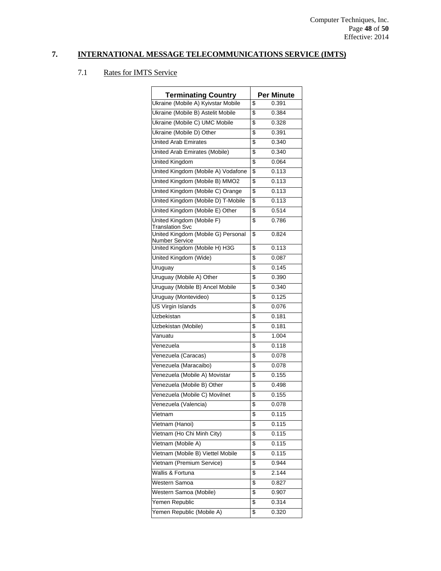| <b>Terminating Country</b>                           | Per Minute  |
|------------------------------------------------------|-------------|
| Ukraine (Mobile A) Kyivstar Mobile                   | \$<br>0.391 |
| Ukraine (Mobile B) Astelit Mobile                    | \$<br>0.384 |
| Ukraine (Mobile C) UMC Mobile                        | \$<br>0.328 |
| Ukraine (Mobile D) Other                             | \$<br>0.391 |
| <b>United Arab Emirates</b>                          | \$<br>0.340 |
|                                                      | 0.340       |
| United Arab Emirates (Mobile)                        | \$          |
| <b>United Kingdom</b>                                | \$<br>0.064 |
| United Kingdom (Mobile A) Vodafone                   | \$<br>0.113 |
| United Kingdom (Mobile B) MMO2                       | \$<br>0.113 |
| United Kingdom (Mobile C) Orange                     | \$<br>0.113 |
| United Kingdom (Mobile D) T-Mobile                   | \$<br>0.113 |
| United Kingdom (Mobile E) Other                      | \$<br>0.514 |
| United Kingdom (Mobile F)<br><b>Translation Svc</b>  | \$<br>0.786 |
| United Kingdom (Mobile G) Personal<br>Number Service | \$<br>0.824 |
| United Kingdom (Mobile H) H3G                        | \$<br>0.113 |
| United Kingdom (Wide)                                | \$<br>0.087 |
| Uruguay                                              | \$<br>0.145 |
| Uruguay (Mobile A) Other                             | \$<br>0.390 |
| Uruguay (Mobile B) Ancel Mobile                      | \$<br>0.340 |
| Uruguay (Montevideo)                                 | \$<br>0.125 |
| <b>US Virgin Islands</b>                             | \$<br>0.076 |
| Uzbekistan                                           | \$<br>0.181 |
| Uzbekistan (Mobile)                                  | \$<br>0.181 |
| Vanuatu                                              | \$<br>1.004 |
| Venezuela                                            | \$<br>0.118 |
| Venezuela (Caracas)                                  | \$<br>0.078 |
| Venezuela (Maracaibo)                                | \$<br>0.078 |
| Venezuela (Mobile A) Movistar                        | \$<br>0.155 |
| Venezuela (Mobile B) Other                           | \$<br>0.498 |
| Venezuela (Mobile C) Movilnet                        | \$<br>0.155 |
| Venezuela (Valencia)                                 | \$<br>0.078 |
| Vietnam                                              | \$<br>0.115 |
| Vietnam (Hanoi)                                      | \$<br>0.115 |
| Vietnam (Ho Chi Minh City)                           | \$<br>0.115 |
| Vietnam (Mobile A)                                   | \$<br>0.115 |
| Vietnam (Mobile B) Viettel Mobile                    | \$<br>0.115 |
| Vietnam (Premium Service)                            | \$<br>0.944 |
| Wallis & Fortuna                                     | \$<br>2.144 |
| Western Samoa                                        | \$<br>0.827 |
| Western Samoa (Mobile)                               | \$<br>0.907 |
| Yemen Republic                                       | \$<br>0.314 |
|                                                      |             |
| Yemen Republic (Mobile A)                            | \$<br>0.320 |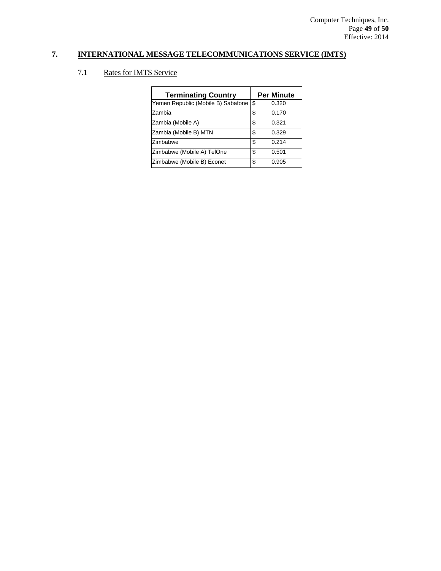| <b>Terminating Country</b>         |    | <b>Per Minute</b> |
|------------------------------------|----|-------------------|
| Yemen Republic (Mobile B) Sabafone | \$ | 0.320             |
| Zambia                             | \$ | 0.170             |
| Zambia (Mobile A)                  | S  | 0.321             |
| Zambia (Mobile B) MTN              | \$ | 0.329             |
| Zimbabwe                           | \$ | 0.214             |
| Zimbabwe (Mobile A) TelOne         | \$ | 0.501             |
| Zimbabwe (Mobile B) Econet         | \$ | 0.905             |